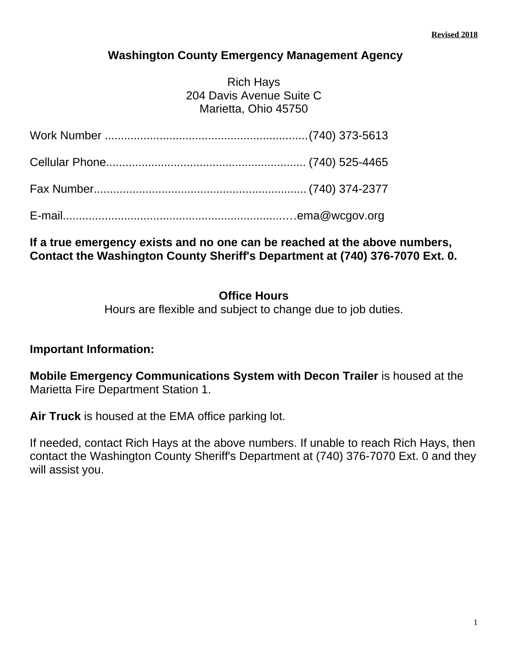### **Washington County Emergency Management Agency**

Rich Hays 204 Davis Avenue Suite C Marietta, Ohio 45750

### **If a true emergency exists and no one can be reached at the above numbers, Contact the Washington County Sheriff's Department at (740) 376-7070 Ext. 0.**

### **Office Hours**

Hours are flexible and subject to change due to job duties.

### **Important Information:**

**Mobile Emergency Communications System with Decon Trailer** is housed at the Marietta Fire Department Station 1.

**Air Truck** is housed at the EMA office parking lot.

If needed, contact Rich Hays at the above numbers. If unable to reach Rich Hays, then contact the Washington County Sheriff's Department at (740) 376-7070 Ext. 0 and they will assist you.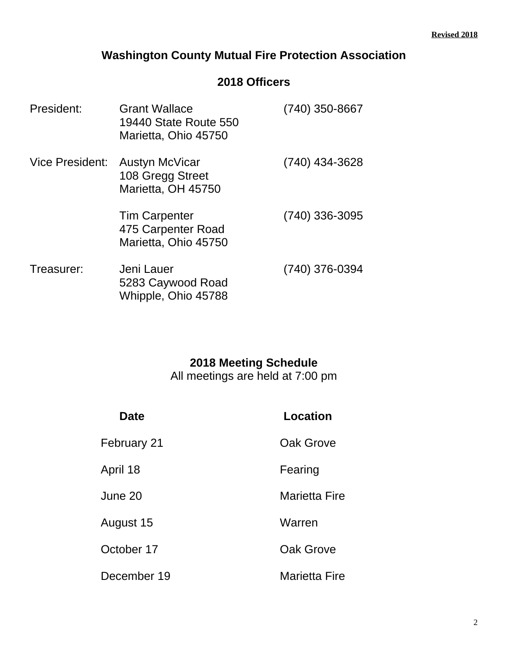### **Washington County Mutual Fire Protection Association**

### **2018 Officers**

| President:             | <b>Grant Wallace</b><br>19440 State Route 550<br>Marietta, Ohio 45750 | (740) 350-8667 |
|------------------------|-----------------------------------------------------------------------|----------------|
| <b>Vice President:</b> | Austyn McVicar<br>108 Gregg Street<br>Marietta, OH 45750              | (740) 434-3628 |
|                        | <b>Tim Carpenter</b><br>475 Carpenter Road<br>Marietta, Ohio 45750    | (740) 336-3095 |
| Treasurer:             | Jeni Lauer<br>5283 Caywood Road<br>Whipple, Ohio 45788                | (740) 376-0394 |

### **2018 Meeting Schedule**

All meetings are held at 7:00 pm

| <b>Date</b> | Location             |
|-------------|----------------------|
| February 21 | Oak Grove            |
| April 18    | Fearing              |
| June 20     | <b>Marietta Fire</b> |
| August 15   | Warren               |
| October 17  | Oak Grove            |
| December 19 | <b>Marietta Fire</b> |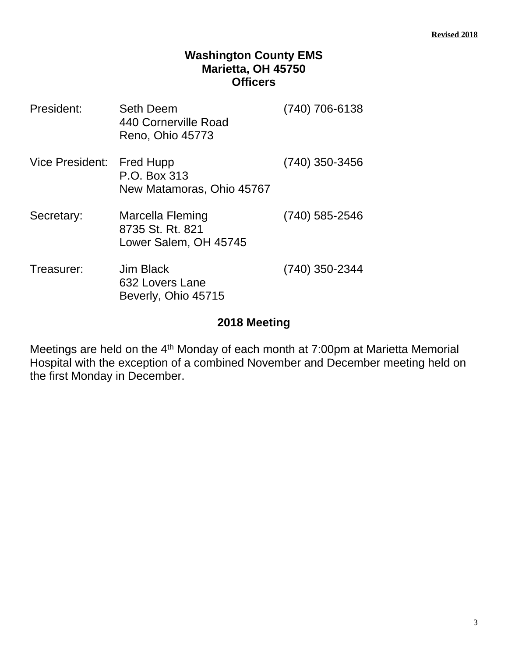### **Washington County EMS Marietta, OH 45750 Officers**

| President:                | <b>Seth Deem</b><br>440 Cornerville Road<br>Reno, Ohio 45773  | (740) 706-6138   |
|---------------------------|---------------------------------------------------------------|------------------|
| Vice President: Fred Hupp | P.O. Box 313<br>New Matamoras, Ohio 45767                     | $(740)$ 350-3456 |
| Secretary:                | Marcella Fleming<br>8735 St. Rt. 821<br>Lower Salem, OH 45745 | (740) 585-2546   |
| Treasurer:                | Jim Black<br>632 Lovers Lane<br>Beverly, Ohio 45715           | (740) 350-2344   |

### **2018 Meeting**

Meetings are held on the 4<sup>th</sup> Monday of each month at 7:00pm at Marietta Memorial Hospital with the exception of a combined November and December meeting held on the first Monday in December.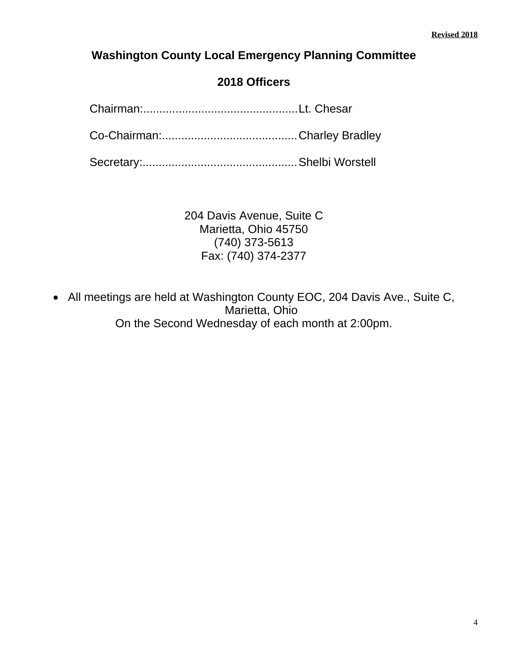### **Washington County Local Emergency Planning Committee**

### **2018 Officers**

Chairman:................................................Lt. Chesar

Co-Chairman:..........................................Charley Bradley

Secretary:................................................Shelbi Worstell

204 Davis Avenue, Suite C Marietta, Ohio 45750 (740) 373-5613 Fax: (740) 374-2377

• All meetings are held at Washington County EOC, 204 Davis Ave., Suite C, Marietta, Ohio On the Second Wednesday of each month at 2:00pm.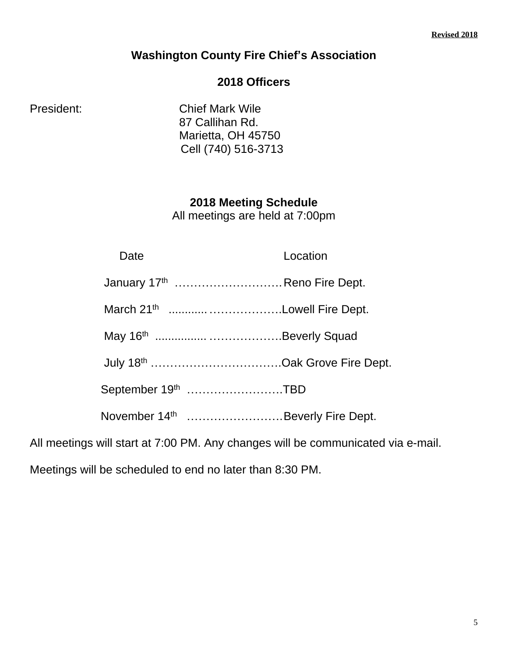### **Washington County Fire Chief's Association**

### **2018 Officers**

President: Chief Mark Wile 87 Callihan Rd. Marietta, OH 45750 Cell (740) 516-3713

> **2018 Meeting Schedule** All meetings are held at 7:00pm

| Date | Location                                     |
|------|----------------------------------------------|
|      | January 17 <sup>th</sup> Reno Fire Dept.     |
|      | March 21 <sup>th</sup> Lowell Fire Dept.     |
|      |                                              |
|      | July 18 <sup>th</sup> Oak Grove Fire Dept.   |
|      | September 19th TBD                           |
|      | November 14 <sup>th</sup> Beverly Fire Dept. |

All meetings will start at 7:00 PM. Any changes will be communicated via e-mail.

Meetings will be scheduled to end no later than 8:30 PM.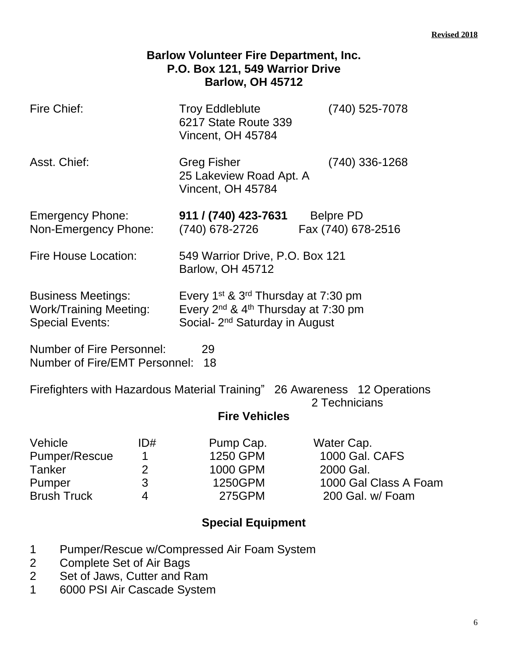| <b>Barlow Volunteer Fire Department, Inc.</b><br>P.O. Box 121, 549 Warrior Drive<br><b>Barlow, OH 45712</b>        |                                                                                                                                                                          |                                                                                        |  |  |
|--------------------------------------------------------------------------------------------------------------------|--------------------------------------------------------------------------------------------------------------------------------------------------------------------------|----------------------------------------------------------------------------------------|--|--|
| Fire Chief:                                                                                                        | <b>Troy Eddleblute</b><br>$(740)$ 525-7078<br>6217 State Route 339<br>Vincent, OH 45784                                                                                  |                                                                                        |  |  |
| Asst. Chief:                                                                                                       | $(740)$ 336-1268<br><b>Greg Fisher</b><br>25 Lakeview Road Apt. A<br>Vincent, OH 45784                                                                                   |                                                                                        |  |  |
| <b>Emergency Phone:</b><br>Non-Emergency Phone:                                                                    | 911 / (740) 423-7631<br><b>Belpre PD</b><br>(740) 678-2726<br>Fax (740) 678-2516                                                                                         |                                                                                        |  |  |
| Fire House Location:                                                                                               | 549 Warrior Drive, P.O. Box 121<br><b>Barlow, OH 45712</b>                                                                                                               |                                                                                        |  |  |
| <b>Business Meetings:</b><br><b>Work/Training Meeting:</b><br><b>Special Events:</b>                               | Every 1 <sup>st</sup> & 3 <sup>rd</sup> Thursday at 7:30 pm<br>Every 2 <sup>nd</sup> & 4 <sup>th</sup> Thursday at 7:30 pm<br>Social- 2 <sup>nd</sup> Saturday in August |                                                                                        |  |  |
| <b>Number of Fire Personnel:</b><br>29<br>Number of Fire/EMT Personnel:<br>18                                      |                                                                                                                                                                          |                                                                                        |  |  |
| Firefighters with Hazardous Material Training" 26 Awareness 12 Operations<br>2 Technicians<br><b>Fire Vehicles</b> |                                                                                                                                                                          |                                                                                        |  |  |
| Vehicle<br>ID#<br>Pumper/Rescue<br>1<br><b>Tanker</b><br>$\overline{2}$<br>3<br>Pumper<br><b>Brush Truck</b><br>4  | Pump Cap.<br>1250 GPM<br>1000 GPM<br>1250GPM<br><b>275GPM</b>                                                                                                            | Water Cap.<br>1000 Gal. CAFS<br>2000 Gal.<br>1000 Gal Class A Foam<br>200 Gal. w/ Foam |  |  |

- 1 Pumper/Rescue w/Compressed Air Foam System
- 2 Complete Set of Air Bags
- 2 Set of Jaws, Cutter and Ram
- 1 6000 PSI Air Cascade System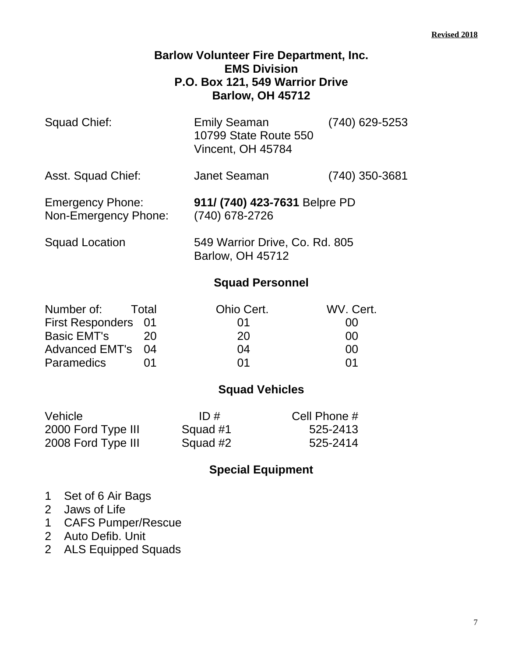### **Barlow Volunteer Fire Department, Inc. EMS Division P.O. Box 121, 549 Warrior Drive Barlow, OH 45712**

| Squad Chief:       | <b>Emily Seaman</b><br>10799 State Route 550<br>Vincent, OH 45784 | $(740)$ 629-5253 |
|--------------------|-------------------------------------------------------------------|------------------|
| Asst. Squad Chief: | <b>Janet Seaman</b>                                               | $(740)$ 350-3681 |

Emergency Phone: **911/ (740) 423-7631** Belpre PD Non-Emergency Phone: (740) 678-2726

Squad Location 549 Warrior Drive, Co. Rd. 805 Barlow, OH 45712

### **Squad Personnel**

| Number of:          | <b>Total</b> | Ohio Cert. | WV. Cert. |
|---------------------|--------------|------------|-----------|
| First Responders 01 |              | $\Omega$ 1 | 00        |
| <b>Basic EMT's</b>  | 20           | 20         | no        |
| Advanced EMT's 04   |              | 04         | ററ        |
| <b>Paramedics</b>   |              | በ1         | O1        |

### **Squad Vehicles**

| Vehicle            | ID#      | Cell Phone # |
|--------------------|----------|--------------|
| 2000 Ford Type III | Squad #1 | 525-2413     |
| 2008 Ford Type III | Squad #2 | 525-2414     |

- 1 Set of 6 Air Bags
- 2 Jaws of Life
- 1 CAFS Pumper/Rescue
- 2 Auto Defib. Unit
- 2 ALS Equipped Squads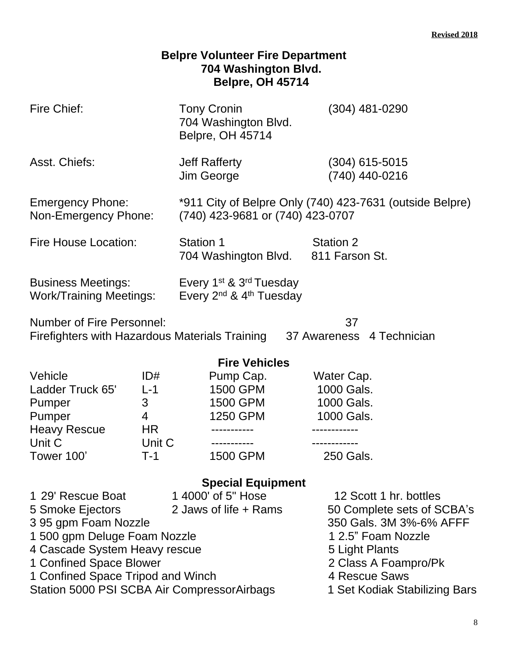| <b>Belpre Volunteer Fire Department</b><br>704 Washington Blvd.<br><b>Belpre, OH 45714</b>                                                                                                                                                   |                                                        |                                                                                          |                                                                                                                                                                                                   |  |
|----------------------------------------------------------------------------------------------------------------------------------------------------------------------------------------------------------------------------------------------|--------------------------------------------------------|------------------------------------------------------------------------------------------|---------------------------------------------------------------------------------------------------------------------------------------------------------------------------------------------------|--|
| Fire Chief:                                                                                                                                                                                                                                  |                                                        | <b>Tony Cronin</b><br>704 Washington Blvd.<br><b>Belpre, OH 45714</b>                    | $(304)$ 481-0290                                                                                                                                                                                  |  |
| Asst. Chiefs:                                                                                                                                                                                                                                |                                                        | <b>Jeff Rafferty</b><br>Jim George                                                       | $(304)$ 615-5015<br>(740) 440-0216                                                                                                                                                                |  |
| *911 City of Belpre Only (740) 423-7631 (outside Belpre)<br><b>Emergency Phone:</b><br>(740) 423-9681 or (740) 423-0707<br>Non-Emergency Phone:                                                                                              |                                                        |                                                                                          |                                                                                                                                                                                                   |  |
| <b>Fire House Location:</b>                                                                                                                                                                                                                  |                                                        | <b>Station 1</b><br><b>Station 2</b><br>811 Farson St.<br>704 Washington Blvd.           |                                                                                                                                                                                                   |  |
| <b>Business Meetings:</b><br>Every 1 <sup>st</sup> & 3 <sup>rd</sup> Tuesday<br>Every 2 <sup>nd</sup> & 4 <sup>th</sup> Tuesday<br><b>Work/Training Meetings:</b>                                                                            |                                                        |                                                                                          |                                                                                                                                                                                                   |  |
| <b>Number of Fire Personnel:</b><br>37<br>Firefighters with Hazardous Materials Training 37 Awareness 4 Technician                                                                                                                           |                                                        |                                                                                          |                                                                                                                                                                                                   |  |
| Vehicle<br>Ladder Truck 65'<br>Pumper<br>Pumper<br><b>Heavy Rescue</b><br>Unit C<br>Tower 100'                                                                                                                                               | ID#<br>$L-1$<br>3<br>4<br><b>HR</b><br>Unit C<br>$T-1$ | <b>Fire Vehicles</b><br>Pump Cap.<br><b>1500 GPM</b><br>1500 GPM<br>1250 GPM<br>1500 GPM | Water Cap.<br>1000 Gals.<br>1000 Gals.<br>1000 Gals.<br>250 Gals.                                                                                                                                 |  |
| 1 29' Rescue Boat<br>5 Smoke Ejectors<br>395 gpm Foam Nozzle<br>1 500 gpm Deluge Foam Nozzle<br>4 Cascade System Heavy rescue<br>1 Confined Space Blower<br>1 Confined Space Tripod and Winch<br>Station 5000 PSI SCBA Air CompressorAirbags |                                                        | <b>Special Equipment</b><br>1 4000' of 5" Hose<br>2 Jaws of life + Rams                  | 12 Scott 1 hr. bottles<br>50 Complete sets of SCBA's<br>350 Gals. 3M 3%-6% AFFF<br>1 2.5" Foam Nozzle<br>5 Light Plants<br>2 Class A Foampro/Pk<br>4 Rescue Saws<br>1 Set Kodiak Stabilizing Bars |  |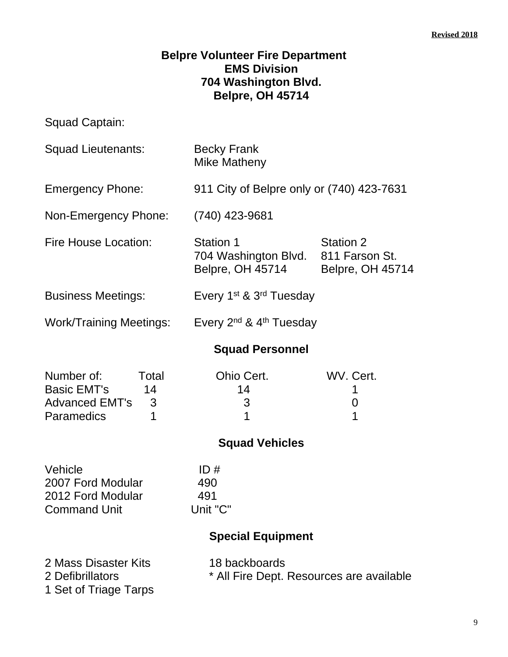### **Belpre Volunteer Fire Department EMS Division 704 Washington Blvd. Belpre, OH 45714**

Squad Captain:

| Squad Lieutenants:                                                                               | <b>Becky Frank</b><br>Mike Matheny                                                                                            |                     |  |
|--------------------------------------------------------------------------------------------------|-------------------------------------------------------------------------------------------------------------------------------|---------------------|--|
| <b>Emergency Phone:</b>                                                                          | 911 City of Belpre only or (740) 423-7631                                                                                     |                     |  |
| Non-Emergency Phone:                                                                             | (740) 423-9681                                                                                                                |                     |  |
| <b>Fire House Location:</b>                                                                      | <b>Station 1</b><br><b>Station 2</b><br>704 Washington Blvd.<br>811 Farson St.<br>Belpre, OH 45714<br><b>Belpre, OH 45714</b> |                     |  |
| <b>Business Meetings:</b>                                                                        | Every 1 <sup>st</sup> & 3 <sup>rd</sup> Tuesday                                                                               |                     |  |
| <b>Work/Training Meetings:</b>                                                                   | Every $2^{nd}$ & $4^{th}$ Tuesday                                                                                             |                     |  |
|                                                                                                  | <b>Squad Personnel</b>                                                                                                        |                     |  |
| Number of:<br>Total<br><b>Basic EMT's</b><br>14<br><b>Advanced EMT's</b><br>3<br>Paramedics<br>1 | Ohio Cert.<br>14<br>3<br>1                                                                                                    | WV. Cert.<br>0<br>1 |  |
|                                                                                                  | <b>Squad Vehicles</b>                                                                                                         |                     |  |
| Vehicle<br>2007 Ford Modular<br>2012 Ford Modular<br><b>Command Unit</b>                         | ID#<br>490<br>491<br>Unit "C"<br><b>Special Equipment</b>                                                                     |                     |  |
| 2 Mass Disaster Kits<br>2 Defibrillators<br>1 Set of Triage Tarps                                | 18 backboards<br>* All Fire Dept. Resources are available                                                                     |                     |  |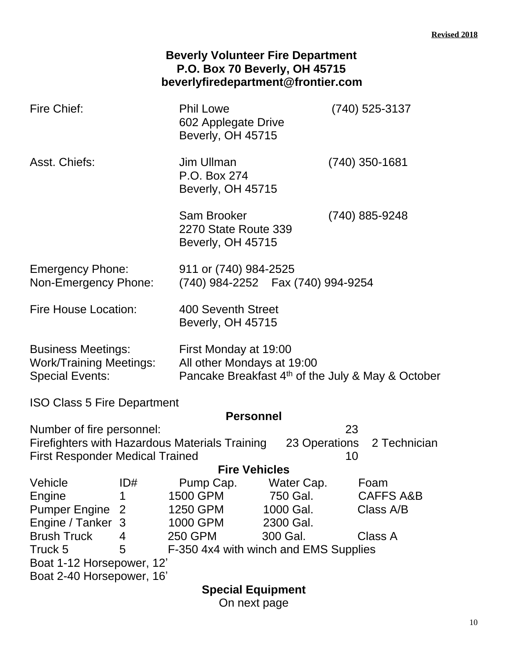|                                                                                                                |                                            | <b>Beverly Volunteer Fire Department</b><br>P.O. Box 70 Beverly, OH 45715<br>beverlyfiredepartment@frontier.com      |                                                            |                                        |
|----------------------------------------------------------------------------------------------------------------|--------------------------------------------|----------------------------------------------------------------------------------------------------------------------|------------------------------------------------------------|----------------------------------------|
| <b>Fire Chief:</b>                                                                                             |                                            | <b>Phil Lowe</b>                                                                                                     | (740) 525-3137<br>602 Applegate Drive<br>Beverly, OH 45715 |                                        |
| Asst. Chiefs:                                                                                                  |                                            | Jim Ullman<br>P.O. Box 274                                                                                           | (740) 350-1681<br>Beverly, OH 45715                        |                                        |
|                                                                                                                |                                            | Sam Brooker<br>2270 State Route 339<br>Beverly, OH 45715                                                             |                                                            | (740) 885-9248                         |
| 911 or (740) 984-2525<br><b>Emergency Phone:</b><br>(740) 984-2252  Fax (740) 994-9254<br>Non-Emergency Phone: |                                            |                                                                                                                      |                                                            |                                        |
| <b>Fire House Location:</b>                                                                                    |                                            | 400 Seventh Street<br>Beverly, OH 45715                                                                              |                                                            |                                        |
| <b>Business Meetings:</b><br><b>Work/Training Meetings:</b><br><b>Special Events:</b>                          |                                            | First Monday at 19:00<br>All other Mondays at 19:00<br>Pancake Breakfast 4 <sup>th</sup> of the July & May & October |                                                            |                                        |
| <b>ISO Class 5 Fire Department</b>                                                                             |                                            |                                                                                                                      |                                                            |                                        |
|                                                                                                                |                                            | <b>Personnel</b>                                                                                                     |                                                            |                                        |
| Number of fire personnel:<br><b>First Responder Medical Trained</b>                                            |                                            | Firefighters with Hazardous Materials Training                                                                       |                                                            | 23<br>23 Operations 2 Technician<br>10 |
| Vehicle                                                                                                        | ID#                                        | <b>Fire Vehicles</b><br>Pump Cap.                                                                                    | Water Cap.                                                 | Foam                                   |
| Engine                                                                                                         | 1                                          | 1500 GPM                                                                                                             | 750 Gal.                                                   | <b>CAFFS A&amp;B</b>                   |
| <b>Pumper Engine</b>                                                                                           | 2                                          | 1250 GPM                                                                                                             | 1000 Gal.                                                  | Class A/B                              |
| Engine / Tanker 3                                                                                              |                                            | 1000 GPM                                                                                                             | 2300 Gal.                                                  |                                        |
| <b>Brush Truck</b>                                                                                             | 4                                          | <b>250 GPM</b><br>300 Gal.<br>Class A                                                                                |                                                            |                                        |
| Truck 5                                                                                                        | 5<br>F-350 4x4 with winch and EMS Supplies |                                                                                                                      |                                                            |                                        |
| Boat 1-12 Horsepower, 12'                                                                                      |                                            |                                                                                                                      |                                                            |                                        |
| Boat 2-40 Horsepower, 16'                                                                                      |                                            |                                                                                                                      |                                                            |                                        |
|                                                                                                                |                                            | <b>Special Equipment</b>                                                                                             |                                                            |                                        |

On next page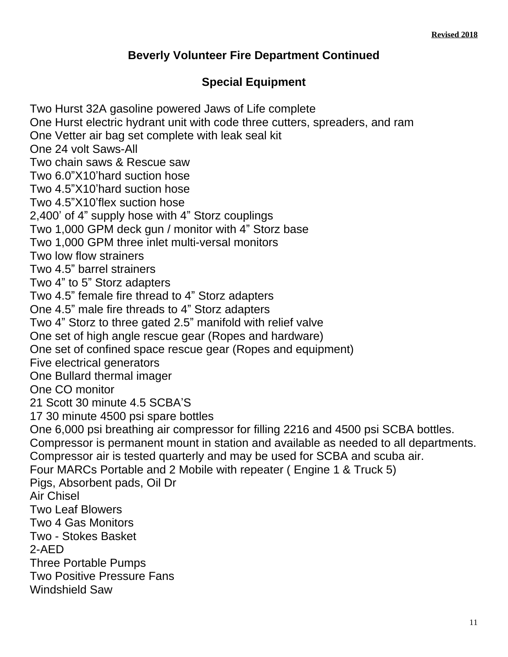### **Beverly Volunteer Fire Department Continued**

### **Special Equipment**

Two Hurst 32A gasoline powered Jaws of Life complete One Hurst electric hydrant unit with code three cutters, spreaders, and ram One Vetter air bag set complete with leak seal kit One 24 volt Saws-All Two chain saws & Rescue saw Two 6.0"X10'hard suction hose Two 4.5"X10'hard suction hose Two 4.5"X10'flex suction hose 2,400' of 4" supply hose with 4" Storz couplings Two 1,000 GPM deck gun / monitor with 4" Storz base Two 1,000 GPM three inlet multi-versal monitors Two low flow strainers Two 4.5" barrel strainers Two 4" to 5" Storz adapters Two 4.5" female fire thread to 4" Storz adapters One 4.5" male fire threads to 4" Storz adapters Two 4" Storz to three gated 2.5" manifold with relief valve One set of high angle rescue gear (Ropes and hardware) One set of confined space rescue gear (Ropes and equipment) Five electrical generators One Bullard thermal imager One CO monitor 21 Scott 30 minute 4.5 SCBA'S 17 30 minute 4500 psi spare bottles One 6,000 psi breathing air compressor for filling 2216 and 4500 psi SCBA bottles. Compressor is permanent mount in station and available as needed to all departments. Compressor air is tested quarterly and may be used for SCBA and scuba air. Four MARCs Portable and 2 Mobile with repeater ( Engine 1 & Truck 5) Pigs, Absorbent pads, Oil Dr Air Chisel Two Leaf Blowers Two 4 Gas Monitors Two - Stokes Basket 2-AED Three Portable Pumps Two Positive Pressure Fans Windshield Saw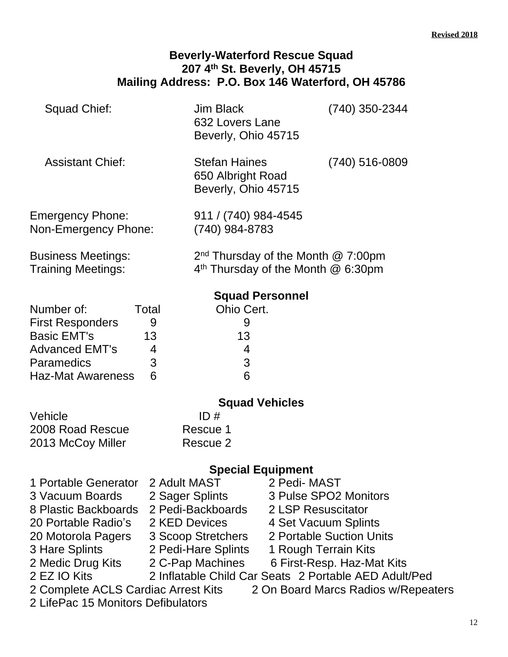#### **Beverly-Waterford Rescue Squad 207 4 th St. Beverly, OH 45715 Mailing Address: P.O. Box 146 Waterford, OH 45786**

| Squad Chief:                                    |       | <b>Jim Black</b><br>632 Lovers Lane<br>Beverly, Ohio 45715                      | (740) 350-2344 |
|-------------------------------------------------|-------|---------------------------------------------------------------------------------|----------------|
| <b>Assistant Chief:</b>                         |       | <b>Stefan Haines</b><br>650 Albright Road<br>Beverly, Ohio 45715                | (740) 516-0809 |
| <b>Emergency Phone:</b><br>Non-Emergency Phone: |       | 911 / (740) 984-4545<br>(740) 984-8783                                          |                |
| Business Meetings:<br>Training Meetings:        |       | $2nd$ Thursday of the Month $@$ 7:00pm<br>$4th$ Thursday of the Month $@6:30pm$ |                |
|                                                 |       | <b>Squad Personnel</b>                                                          |                |
| Number of:                                      | Total | Ohio Cert.                                                                      |                |
| <b>First Responders</b>                         | 9     | 9                                                                               |                |
| <b>Basic EMT's</b>                              | 13    | 13                                                                              |                |
| Advanced EMT's                                  | 4     | 4                                                                               |                |
| <b>Paramedics</b>                               | 3     | 3                                                                               |                |
| Haz-Mat Awareness                               | 6     | 6                                                                               |                |

| ID#      |
|----------|
| Rescue 1 |
| Rescue 2 |
|          |

### **Special Equipment**

1 Portable Generator 2 Adult MAST 2 Pedi- MAST 3 Vacuum Boards 2 Sager Splints 3 Pulse SPO2 Monitors<br>8 Plastic Backboards 2 Pedi-Backboards 2 LSP Resuscitator 8 Plastic Backboards 2 Pedi-Backboards 2 LSP Resuscitator 20 Portable Radio's 2 KED Devices 4 Set Vacuum Splints 20 Motorola Pagers 3 Scoop Stretchers 2 Portable Suction Units 3 Hare Splints 2 Pedi-Hare Splints 1 Rough Terrain Kits<br>2 Medic Drug Kits 2 C-Pap Machines 6 First-Resp. Haz-Ma 2 C-Pap Machines 6 First-Resp. Haz-Mat Kits 2 EZ IO Kits 2 Inflatable Child Car Seats 2 Portable AED Adult/Ped 2 Complete ACLS Cardiac Arrest Kits 2 On Board Marcs Radios w/Repeaters 2 LifePac 15 Monitors Defibulators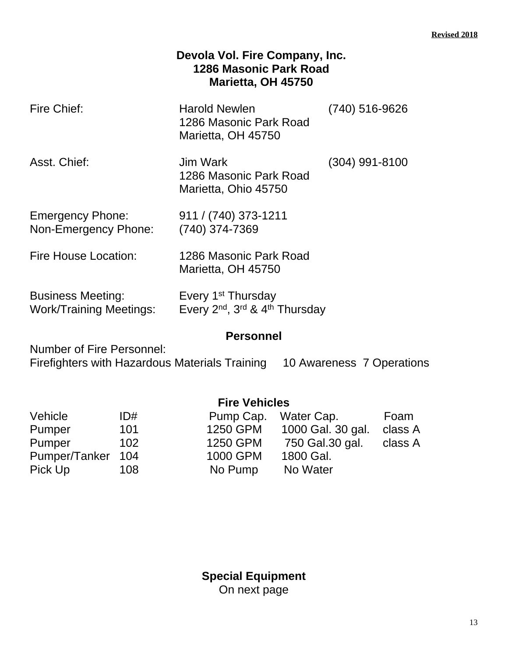### **Devola Vol. Fire Company, Inc. 1286 Masonic Park Road Marietta, OH 45750**

| Fire Chief:                                                | <b>Harold Newlen</b><br>1286 Masonic Park Road<br>Marietta, OH 45750 | (740) 516-9626   |
|------------------------------------------------------------|----------------------------------------------------------------------|------------------|
| Asst. Chief:                                               | Jim Wark<br>1286 Masonic Park Road<br>Marietta, Ohio 45750           | $(304)$ 991-8100 |
| <b>Emergency Phone:</b><br>Non-Emergency Phone:            | 911 / (740) 373-1211<br>(740) 374-7369                               |                  |
| Fire House Location:                                       | 1286 Masonic Park Road<br>Marietta, OH 45750                         |                  |
| <b>Business Meeting:</b><br><b>Work/Training Meetings:</b> | Every 1 <sup>st</sup> Thursday<br>Every 2nd, 3rd & 4th Thursday      |                  |

### **Personnel**

Number of Fire Personnel: Firefighters with Hazardous Materials Training 10 Awareness 7 Operations

|               |     | <b>Fire Vehicles</b> |                   |         |
|---------------|-----|----------------------|-------------------|---------|
| Vehicle       | ID# | Pump Cap.            | Water Cap.        | Foam    |
| Pumper        | 101 | 1250 GPM             | 1000 Gal. 30 gal. | class A |
| Pumper        | 102 | 1250 GPM             | 750 Gal.30 gal.   | class A |
| Pumper/Tanker | 104 | 1000 GPM             | 1800 Gal.         |         |
| Pick Up       | 108 | No Pump              | No Water          |         |
|               |     |                      |                   |         |

**Special Equipment** On next page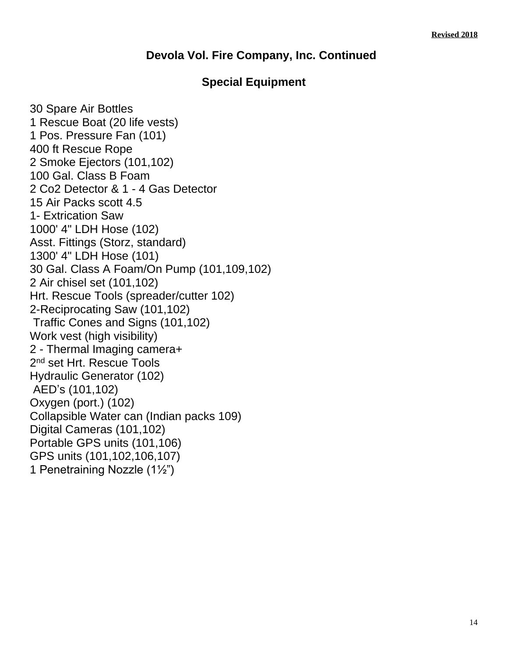### **Devola Vol. Fire Company, Inc. Continued**

### **Special Equipment**

30 Spare Air Bottles 1 Rescue Boat (20 life vests) 1 Pos. Pressure Fan (101) 400 ft Rescue Rope 2 Smoke Ejectors (101,102) 100 Gal. Class B Foam 2 Co2 Detector & 1 - 4 Gas Detector 15 Air Packs scott 4.5 1- Extrication Saw 1000' 4" LDH Hose (102) Asst. Fittings (Storz, standard) 1300' 4" LDH Hose (101) 30 Gal. Class A Foam/On Pump (101,109,102) 2 Air chisel set (101,102) Hrt. Rescue Tools (spreader/cutter 102) 2-Reciprocating Saw (101,102) Traffic Cones and Signs (101,102) Work vest (high visibility) 2 - Thermal Imaging camera+ 2<sup>nd</sup> set Hrt. Rescue Tools Hydraulic Generator (102) AED's (101,102) Oxygen (port.) (102) Collapsible Water can (Indian packs 109) Digital Cameras (101,102) Portable GPS units (101,106) GPS units (101,102,106,107) 1 Penetraining Nozzle (1½")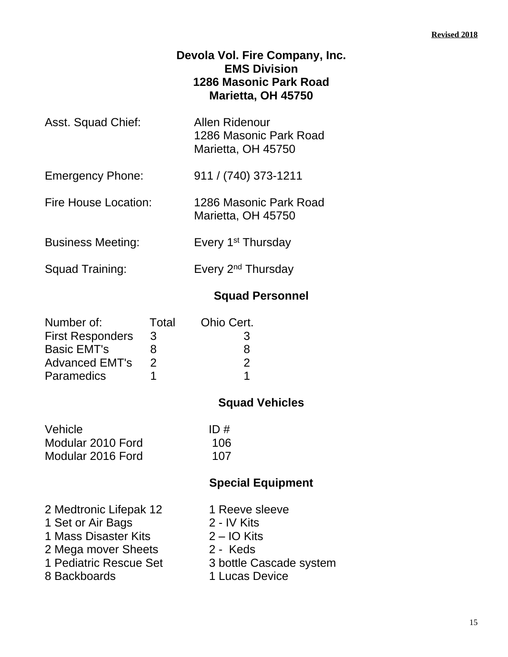### **Devola Vol. Fire Company, Inc. EMS Division 1286 Masonic Park Road Marietta, OH 45750**

| Asst. Squad Chief: | Allen Ridenour         |
|--------------------|------------------------|
|                    | 1286 Masonic Park Road |
|                    | Marietta, OH 45750     |
|                    |                        |

Emergency Phone: 911 / (740) 373-1211

Fire House Location: 1286 Masonic Park Road Marietta, OH 45750

- Business Meeting: Every 1<sup>st</sup> Thursday
- 

Squad Training: Every 2<sup>nd</sup> Thursday

### **Squad Personnel**

| Number of:              | Total         | Ohio Cert. |
|-------------------------|---------------|------------|
| <b>First Responders</b> | 3             | 3          |
| <b>Basic EMT's</b>      | x             | 8          |
| <b>Advanced EMT's</b>   | $\mathcal{P}$ | 2          |
| <b>Paramedics</b>       |               |            |

### **Squad Vehicles**

| Vehicle           | ID# |
|-------------------|-----|
| Modular 2010 Ford | 106 |
| Modular 2016 Ford | 107 |

- 2 Medtronic Lifepak 12 1 Reeve sleeve
- 1 Set or Air Bags 2 IV Kits
- 1 Mass Disaster Kits 2 IO Kits
- 2 Mega mover Sheets 2 Keds<br>1 Pediatric Rescue Set 3 bottle C
- 
- 
- -
	-
	-
	- 3 bottle Cascade system
- 8 Backboards 1 Lucas Device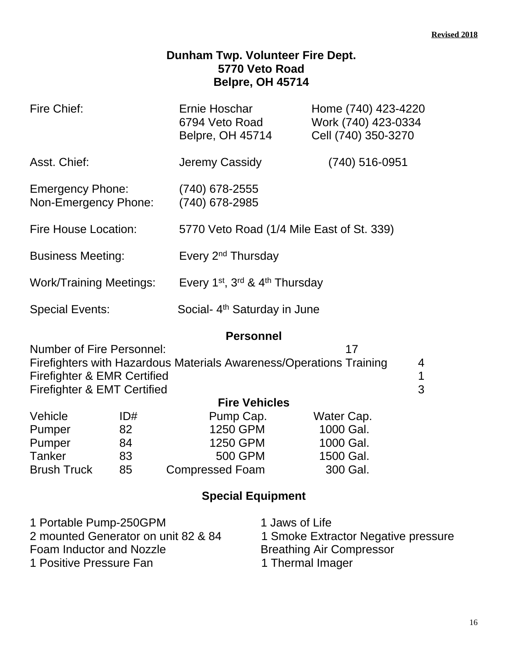### **Dunham Twp. Volunteer Fire Dept. 5770 Veto Road Belpre, OH 45714**

| Fire Chief:                                                                                                                            | Ernie Hoschar<br>6794 Veto Road<br><b>Belpre, OH 45714</b> | Home (740) 423-4220<br>Work (740) 423-0334<br>Cell (740) 350-3270 |
|----------------------------------------------------------------------------------------------------------------------------------------|------------------------------------------------------------|-------------------------------------------------------------------|
| Asst. Chief:                                                                                                                           | Jeremy Cassidy                                             | (740) 516-0951                                                    |
| <b>Emergency Phone:</b><br>Non-Emergency Phone:                                                                                        | $(740)$ 678-2555<br>(740) 678-2985                         |                                                                   |
| Fire House Location:                                                                                                                   | 5770 Veto Road (1/4 Mile East of St. 339)                  |                                                                   |
| <b>Business Meeting:</b>                                                                                                               | Every 2 <sup>nd</sup> Thursday                             |                                                                   |
| <b>Work/Training Meetings:</b>                                                                                                         | Every 1st, 3rd & 4th Thursday                              |                                                                   |
| <b>Special Events:</b>                                                                                                                 | Social- 4 <sup>th</sup> Saturday in June                   |                                                                   |
|                                                                                                                                        | <b>Personnel</b>                                           |                                                                   |
| <b>Number of Fire Personnel:</b><br>Firefighters with Hazardous Materials Awareness/Operations Training<br>Firefighter & EMR Certified |                                                            | 17<br>4<br>1                                                      |

| - 1 | . .     |         |  |
|-----|---------|---------|--|
|     |         |         |  |
| ×   | ۰,<br>۹ | č<br>۰. |  |

| Firefighter & EMT Certified |     |                        |            |
|-----------------------------|-----|------------------------|------------|
|                             |     | <b>Fire Vehicles</b>   |            |
| Vehicle                     | ID# | Pump Cap.              | Water Cap. |
| Pumper                      | 82  | 1250 GPM               | 1000 Gal.  |
| Pumper                      | 84  | 1250 GPM               | 1000 Gal.  |
| <b>Tanker</b>               | 83  | <b>500 GPM</b>         | 1500 Gal.  |
| <b>Brush Truck</b>          | 85  | <b>Compressed Foam</b> | 300 Gal.   |

| 1 Portable Pump-250GPM              | 1 Jaws of Life                      |
|-------------------------------------|-------------------------------------|
| 2 mounted Generator on unit 82 & 84 | 1 Smoke Extractor Negative pressure |
| Foam Inductor and Nozzle            | <b>Breathing Air Compressor</b>     |
| 1 Positive Pressure Fan             | 1 Thermal Imager                    |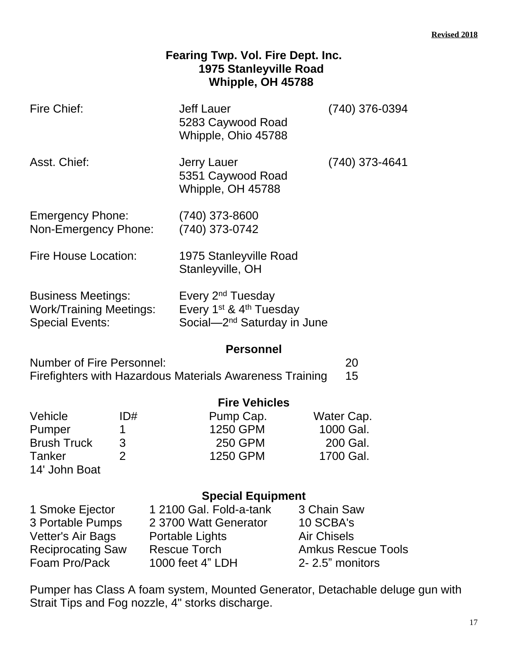### **Fearing Twp. Vol. Fire Dept. Inc. 1975 Stanleyville Road Whipple, OH 45788**

| Fire Chief:                                                                                  | <b>Jeff Lauer</b><br>5283 Caywood Road<br>Whipple, Ohio 45788                                                               | (740) 376-0394 |
|----------------------------------------------------------------------------------------------|-----------------------------------------------------------------------------------------------------------------------------|----------------|
| Asst. Chief:                                                                                 | Jerry Lauer<br>5351 Caywood Road<br>Whipple, OH 45788                                                                       | (740) 373-4641 |
| <b>Emergency Phone:</b><br>Non-Emergency Phone:                                              | (740) 373-8600<br>(740) 373-0742                                                                                            |                |
| <b>Fire House Location:</b>                                                                  | 1975 Stanleyville Road<br>Stanleyville, OH                                                                                  |                |
| <b>Business Meetings:</b><br><b>Work/Training Meetings:</b><br><b>Special Events:</b>        | Every 2 <sup>nd</sup> Tuesday<br>Every 1 <sup>st</sup> & 4 <sup>th</sup> Tuesday<br>Social—2 <sup>nd</sup> Saturday in June |                |
|                                                                                              | <b>Personnel</b>                                                                                                            |                |
| <b>Number of Fire Personnel:</b><br>Firefighters with Hazardous Materials Awareness Training | 20<br>15                                                                                                                    |                |

|                    | <b>Fire Vehicles</b> |                |            |
|--------------------|----------------------|----------------|------------|
| Vehicle            | ID#                  | Pump Cap.      | Water Cap. |
| Pumper             |                      | 1250 GPM       | 1000 Gal.  |
| <b>Brush Truck</b> | 3                    | <b>250 GPM</b> | 200 Gal.   |
| Tanker             |                      | 1250 GPM       | 1700 Gal.  |
| 14' John Boat      |                      |                |            |

### **Special Equipment**

| 1 Smoke Ejector          | 1 2100 Gal. Fold-a-tank | 3 Chain Saw               |
|--------------------------|-------------------------|---------------------------|
| 3 Portable Pumps         | 2 3700 Watt Generator   | 10 SCBA's                 |
| Vetter's Air Bags        | Portable Lights         | <b>Air Chisels</b>        |
| <b>Reciprocating Saw</b> | <b>Rescue Torch</b>     | <b>Amkus Rescue Tools</b> |
| Foam Pro/Pack            | 1000 feet 4" LDH        | 2-2.5" monitors           |

Pumper has Class A foam system, Mounted Generator, Detachable deluge gun with Strait Tips and Fog nozzle, 4" storks discharge.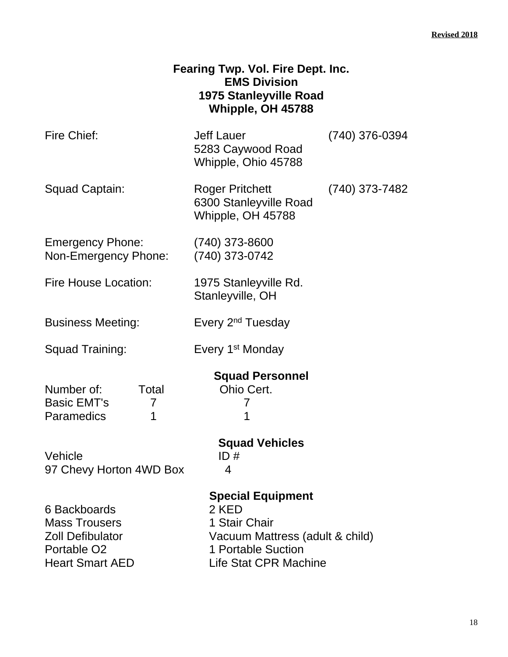| Fearing Twp. Vol. Fire Dept. Inc. |  |
|-----------------------------------|--|
| <b>EMS Division</b>               |  |
| 1975 Stanleyville Road            |  |
| Whipple, OH 45788                 |  |

| Fire Chief: | Jeff Lauer          | (740) 376-0394 |
|-------------|---------------------|----------------|
|             | 5283 Caywood Road   |                |
|             | Whipple, Ohio 45788 |                |

| Squad Captain: | <b>Roger Pritchett</b> | (740) 373-7482 |
|----------------|------------------------|----------------|
|                | 6300 Stanleyville Road |                |
|                | Whipple, OH 45788      |                |

| Emergency Phone:     | (740) 373-8600 |
|----------------------|----------------|
| Non-Emergency Phone: | (740) 373-0742 |

- Fire House Location: 1975 Stanleyville Rd. Stanleyville, OH
- Business Meeting: Every 2<sup>nd</sup> Tuesday
- 

Squad Training: Every 1<sup>st</sup> Monday

# **Squad Personnel**

Number of: Total Ohio Cert. Basic EMT's 7 7 7 7 Paramedics 1 1

### Vehicle ID # 97 Chevy Horton 4WD Box 4

6 Backboards 2 KED Mass Trousers 1 Stair Chair

# **Squad Vehicles**

### **Special Equipment**

Zoll Defibulator Vacuum Mattress (adult & child) Portable O2 1 Portable Suction<br>
Heart Smart AED Life Stat CPR Mac Life Stat CPR Machine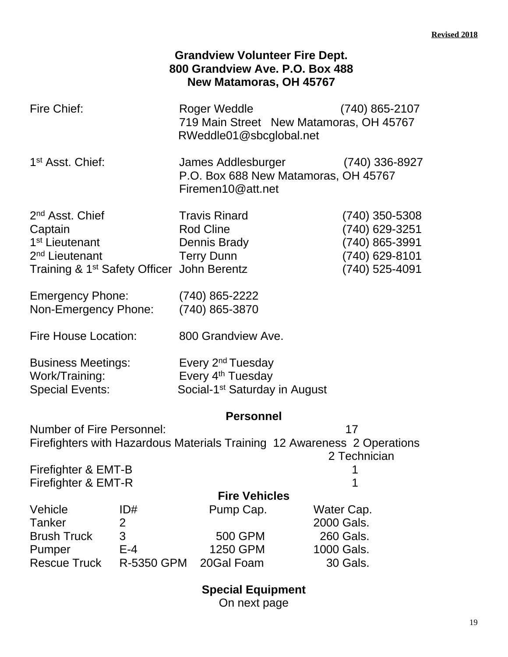|                                                                                                                                     | <b>Grandview Volunteer Fire Dept.</b><br>800 Grandview Ave. P.O. Box 488<br>New Matamoras, OH 45767         |                                                                                          |
|-------------------------------------------------------------------------------------------------------------------------------------|-------------------------------------------------------------------------------------------------------------|------------------------------------------------------------------------------------------|
| Fire Chief:                                                                                                                         | Roger Weddle<br>719 Main Street New Matamoras, OH 45767<br>RWeddle01@sbcglobal.net                          | $(740)$ 865-2107                                                                         |
| 1 <sup>st</sup> Asst. Chief:                                                                                                        | James Addlesburger<br>P.O. Box 688 New Matamoras, OH 45767<br>Firemen10@att.net                             | $(740)$ 336-8927                                                                         |
| 2 <sup>nd</sup> Asst. Chief<br>Captain<br>1 <sup>st</sup> Lieutenant<br>2 <sup>nd</sup> Lieutenant<br>Training & 1st Safety Officer | <b>Travis Rinard</b><br><b>Rod Cline</b><br>Dennis Brady<br><b>Terry Dunn</b><br>John Berentz               | $(740)$ 350-5308<br>(740) 629-3251<br>(740) 865-3991<br>(740) 629-8101<br>(740) 525-4091 |
| <b>Emergency Phone:</b><br>Non-Emergency Phone:                                                                                     | $(740)$ 865-2222<br>(740) 865-3870                                                                          |                                                                                          |
| Fire House Location:                                                                                                                | 800 Grandview Ave.                                                                                          |                                                                                          |
| <b>Business Meetings:</b><br>Work/Training:<br><b>Special Events:</b>                                                               | Every 2 <sup>nd</sup> Tuesday<br>Every 4 <sup>th</sup> Tuesday<br>Social-1 <sup>st</sup> Saturday in August |                                                                                          |
|                                                                                                                                     | <b>Personnel</b>                                                                                            |                                                                                          |
| <b>Number of Fire Personnel:</b><br>Firefighters with Hazardous Materials Training 12 Awareness 2 Operations<br>Firefighter & EMT-B |                                                                                                             | 17<br>2 Technician                                                                       |
| Firefighter & EMT-R                                                                                                                 |                                                                                                             |                                                                                          |
| Vehicle<br>ID#<br><b>Tanker</b><br>2<br>3<br><b>Brush Truck</b><br>$E-4$<br>Pumper<br><b>Rescue Truck</b><br>R-5350 GPM             | <b>Fire Vehicles</b><br>Pump Cap.<br>500 GPM<br>1250 GPM<br>20Gal Foam                                      | Water Cap.<br>2000 Gals.<br>260 Gals.<br>1000 Gals.<br>30 Gals.                          |

**Special Equipment**

On next page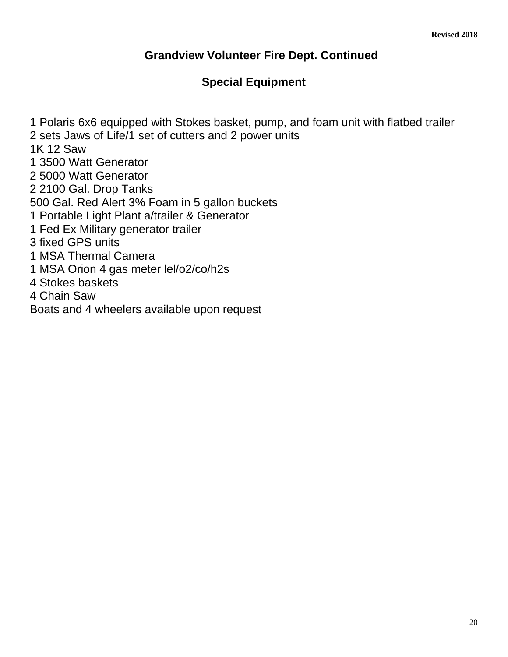### **Grandview Volunteer Fire Dept. Continued**

### **Special Equipment**

1 Polaris 6x6 equipped with Stokes basket, pump, and foam unit with flatbed trailer 2 sets Jaws of Life/1 set of cutters and 2 power units 1K 12 Saw 1 3500 Watt Generator 2 5000 Watt Generator 2 2100 Gal. Drop Tanks 500 Gal. Red Alert 3% Foam in 5 gallon buckets 1 Portable Light Plant a/trailer & Generator 1 Fed Ex Military generator trailer 3 fixed GPS units 1 MSA Thermal Camera 1 MSA Orion 4 gas meter lel/o2/co/h2s 4 Stokes baskets 4 Chain Saw Boats and 4 wheelers available upon request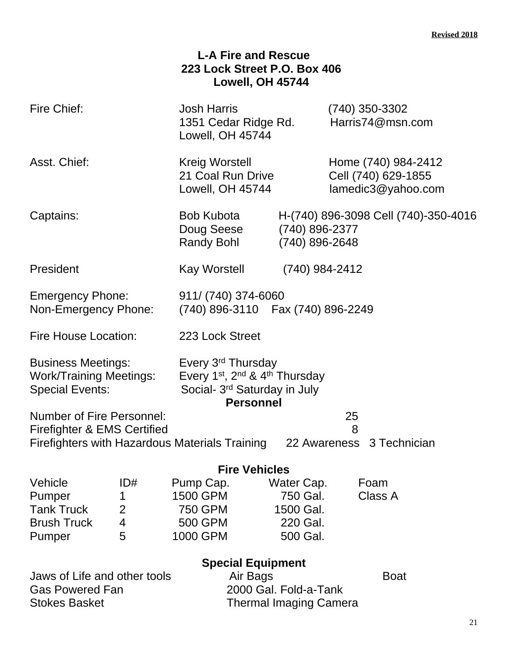|                                                                                                                                                                     |                                                             | <b>L-A Fire and Rescue</b><br>223 Lock Street P.O. Box 406<br>Lowell, OH 45744                                                                                       |                                                             |                                                                  |
|---------------------------------------------------------------------------------------------------------------------------------------------------------------------|-------------------------------------------------------------|----------------------------------------------------------------------------------------------------------------------------------------------------------------------|-------------------------------------------------------------|------------------------------------------------------------------|
| Fire Chief:                                                                                                                                                         |                                                             | <b>Josh Harris</b><br>1351 Cedar Ridge Rd.<br>Lowell, OH 45744                                                                                                       |                                                             | $(740)$ 350-3302<br>Harris74@msn.com                             |
| Asst. Chief:                                                                                                                                                        |                                                             | Kreig Worstell<br>21 Coal Run Drive<br>Lowell, OH 45744                                                                                                              |                                                             | Home (740) 984-2412<br>Cell (740) 629-1855<br>lamedic3@yahoo.com |
| Captains:                                                                                                                                                           |                                                             | <b>Bob Kubota</b><br>Doug Seese<br>Randy Bohl                                                                                                                        | (740) 896-2377<br>(740) 896-2648                            | H-(740) 896-3098 Cell (740)-350-4016                             |
| President                                                                                                                                                           |                                                             | Kay Worstell                                                                                                                                                         | (740) 984-2412                                              |                                                                  |
| <b>Emergency Phone:</b><br>Non-Emergency Phone:                                                                                                                     |                                                             | 911/ (740) 374-6060<br>(740) 896-3110  Fax (740) 896-2249                                                                                                            |                                                             |                                                                  |
| <b>Fire House Location:</b>                                                                                                                                         |                                                             | 223 Lock Street                                                                                                                                                      |                                                             |                                                                  |
| <b>Business Meetings:</b><br><b>Work/Training Meetings:</b><br><b>Special Events:</b>                                                                               |                                                             | Every 3 <sup>rd</sup> Thursday<br>Every 1 <sup>st</sup> , 2 <sup>nd</sup> & 4 <sup>th</sup> Thursday<br>Social- 3 <sup>rd</sup> Saturday in July<br><b>Personnel</b> |                                                             |                                                                  |
| <b>Number of Fire Personnel:</b><br>Firefighter & EMS Certified                                                                                                     |                                                             |                                                                                                                                                                      |                                                             | 25<br>8                                                          |
|                                                                                                                                                                     |                                                             | Firefighters with Hazardous Materials Training                                                                                                                       |                                                             | 22 Awareness 3 Technician                                        |
| <b>Fire Vehicles</b>                                                                                                                                                |                                                             |                                                                                                                                                                      |                                                             |                                                                  |
| Vehicle<br>Pumper<br><b>Tank Truck</b><br><b>Brush Truck</b><br>Pumper                                                                                              | ID#<br>1<br>$\overline{2}$<br>$\overline{\mathcal{A}}$<br>5 | Pump Cap.<br>1500 GPM<br>750 GPM<br>500 GPM<br>1000 GPM                                                                                                              | Water Cap.<br>750 Gal.<br>1500 Gal.<br>220 Gal.<br>500 Gal. | Foam<br>Class A                                                  |
| <b>Special Equipment</b>                                                                                                                                            |                                                             |                                                                                                                                                                      |                                                             |                                                                  |
| Jaws of Life and other tools<br>Air Bags<br><b>Boat</b><br>2000 Gal. Fold-a-Tank<br><b>Gas Powered Fan</b><br><b>Stokes Basket</b><br><b>Thermal Imaging Camera</b> |                                                             |                                                                                                                                                                      |                                                             |                                                                  |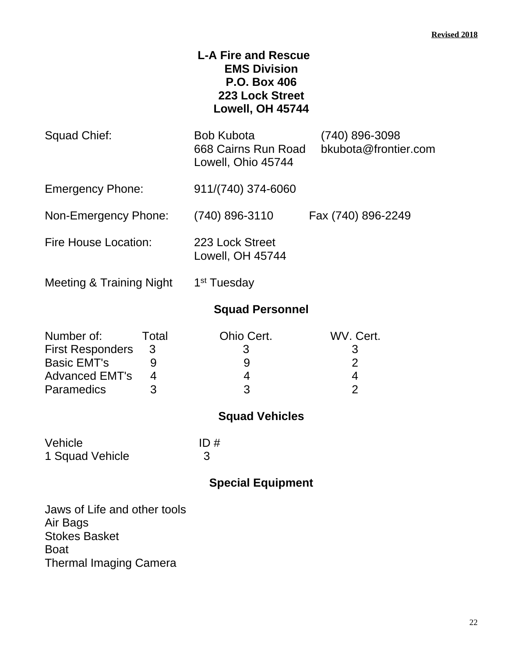### **L-A Fire and Rescue EMS Division P.O. Box 406 223 Lock Street Lowell, OH 45744**

| Squad Chief:                                                                                              |                                                  | Bob Kubota<br>668 Cairns Run Road<br>Lowell, Ohio 45744 | $(740)$ 896-3098<br>bkubota@frontier.com                                      |
|-----------------------------------------------------------------------------------------------------------|--------------------------------------------------|---------------------------------------------------------|-------------------------------------------------------------------------------|
| <b>Emergency Phone:</b>                                                                                   |                                                  | 911/(740) 374-6060                                      |                                                                               |
| Non-Emergency Phone:                                                                                      |                                                  | (740) 896-3110                                          | Fax (740) 896-2249                                                            |
| <b>Fire House Location:</b>                                                                               |                                                  | 223 Lock Street<br>Lowell, OH 45744                     |                                                                               |
| Meeting & Training Night                                                                                  |                                                  | 1 <sup>st</sup> Tuesday                                 |                                                                               |
|                                                                                                           |                                                  | <b>Squad Personnel</b>                                  |                                                                               |
| Number of:<br><b>First Responders</b><br><b>Basic EMT's</b><br><b>Advanced EMT's</b><br><b>Paramedics</b> | Total<br>3<br>9<br>$\overline{\mathcal{A}}$<br>3 | Ohio Cert.<br>3<br>9<br>4<br>3                          | WV. Cert.<br>3<br>$\overline{2}$<br>$\overline{\mathbf{4}}$<br>$\overline{2}$ |
|                                                                                                           |                                                  | <b>Squad Vehicles</b>                                   |                                                                               |
| Vehicle<br>1 Squad Vehicle                                                                                |                                                  | ID#<br>3                                                |                                                                               |
|                                                                                                           |                                                  | <b>Special Equipment</b>                                |                                                                               |
|                                                                                                           |                                                  |                                                         |                                                                               |

Jaws of Life and other tools Air Bags Stokes Basket Boat Thermal Imaging Camera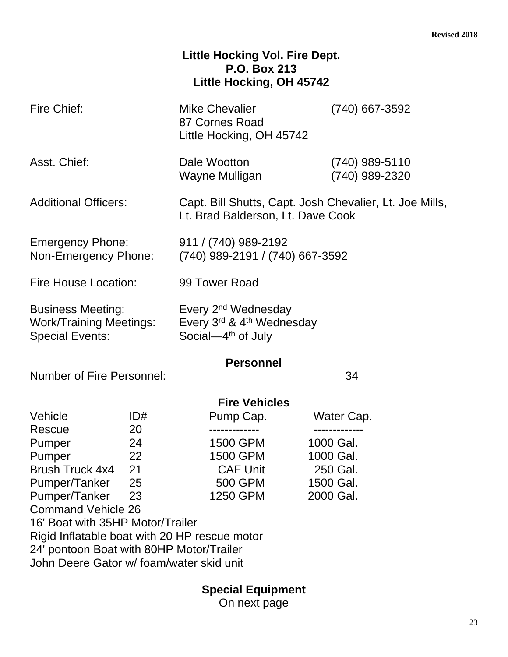### **Little Hocking Vol. Fire Dept. P.O. Box 213 Little Hocking, OH 45742**

| Fire Chief:                                        |                                                                                                                                  | <b>Mike Chevalier</b><br>87 Cornes Road<br>Little Hocking, OH 45742                          | (740) 667-3592                     |  |
|----------------------------------------------------|----------------------------------------------------------------------------------------------------------------------------------|----------------------------------------------------------------------------------------------|------------------------------------|--|
| Asst. Chief:                                       |                                                                                                                                  | Dale Wootton<br>Wayne Mulligan                                                               | $(740)$ 989-5110<br>(740) 989-2320 |  |
| <b>Additional Officers:</b>                        |                                                                                                                                  | Capt. Bill Shutts, Capt. Josh Chevalier, Lt. Joe Mills,<br>Lt. Brad Balderson, Lt. Dave Cook |                                    |  |
| <b>Emergency Phone:</b><br>Non-Emergency Phone:    |                                                                                                                                  | 911 / (740) 989-2192<br>(740) 989-2191 / (740) 667-3592                                      |                                    |  |
| <b>Fire House Location:</b>                        |                                                                                                                                  | 99 Tower Road                                                                                |                                    |  |
| <b>Business Meeting:</b><br><b>Special Events:</b> | Every 2 <sup>nd</sup> Wednesday<br>Every 3rd & 4th Wednesday<br><b>Work/Training Meetings:</b><br>Social-4 <sup>th</sup> of July |                                                                                              |                                    |  |
| <b>Number of Fire Personnel:</b>                   |                                                                                                                                  | <b>Personnel</b>                                                                             | 34                                 |  |
| <b>Fire Vehicles</b>                               |                                                                                                                                  |                                                                                              |                                    |  |
| Vehicle                                            | ID#                                                                                                                              | Pump Cap.                                                                                    | Water Cap.                         |  |
| Rescue                                             | 20                                                                                                                               |                                                                                              |                                    |  |
| Pumper                                             | 24                                                                                                                               | 1500 GPM                                                                                     | 1000 Gal.                          |  |
| Pumper                                             | 22                                                                                                                               | 1500 GPM                                                                                     | 1000 Gal.                          |  |
| Brush Truck 4x4 21                                 |                                                                                                                                  | <b>CAF Unit</b>                                                                              | 250 Gal.                           |  |
| Pumper/Tanker                                      | 25                                                                                                                               | 500 GPM                                                                                      | 1500 Gal.                          |  |
| Pumper/Tanker                                      | 23                                                                                                                               | 1250 GPM                                                                                     | 2000 Gal.                          |  |
| <b>Command Vehicle 26</b>                          |                                                                                                                                  |                                                                                              |                                    |  |
| 16' Boat with 35HP Motor/Trailer                   |                                                                                                                                  |                                                                                              |                                    |  |
| Rigid Inflatable boat with 20 HP rescue motor      |                                                                                                                                  |                                                                                              |                                    |  |
| 24' pontoon Boat with 80HP Motor/Trailer           |                                                                                                                                  |                                                                                              |                                    |  |
| John Deere Gator w/ foam/water skid unit           |                                                                                                                                  |                                                                                              |                                    |  |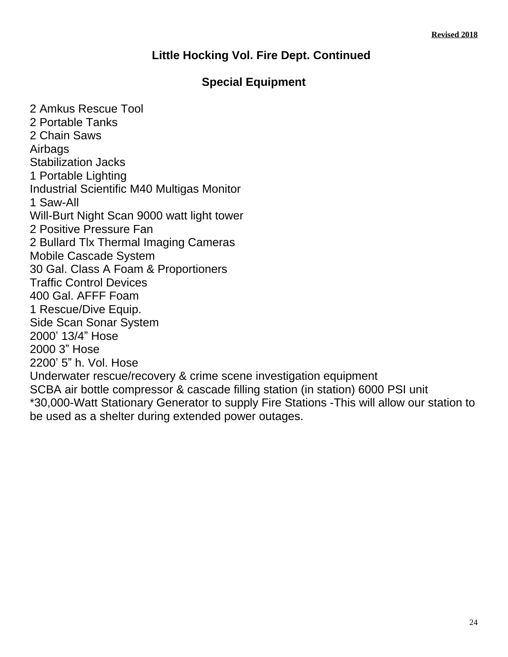### **Little Hocking Vol. Fire Dept. Continued**

### **Special Equipment**

2 Amkus Rescue Tool 2 Portable Tanks 2 Chain Saws Airbags Stabilization Jacks 1 Portable Lighting Industrial Scientific M40 Multigas Monitor 1 Saw-All Will-Burt Night Scan 9000 watt light tower 2 Positive Pressure Fan 2 Bullard Tlx Thermal Imaging Cameras Mobile Cascade System 30 Gal. Class A Foam & Proportioners Traffic Control Devices 400 Gal. AFFF Foam 1 Rescue/Dive Equip. Side Scan Sonar System 2000' 13/4" Hose 2000 3" Hose 2200' 5" h. Vol. Hose Underwater rescue/recovery & crime scene investigation equipment SCBA air bottle compressor & cascade filling station (in station) 6000 PSI unit \*30,000-Watt Stationary Generator to supply Fire Stations -This will allow our station to be used as a shelter during extended power outages.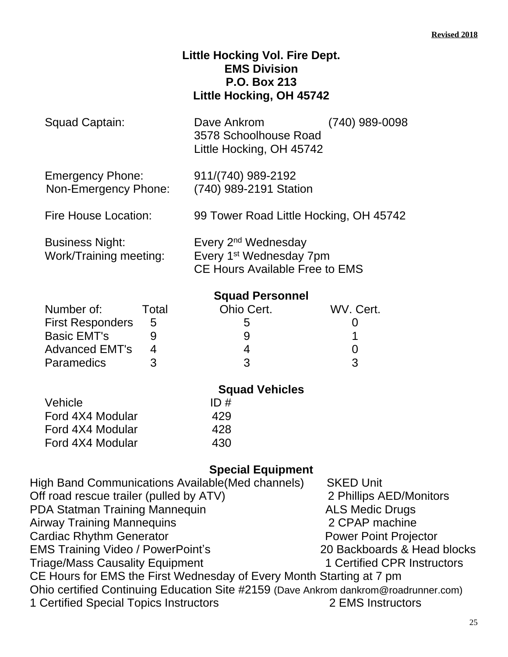### **Little Hocking Vol. Fire Dept. EMS Division P.O. Box 213 Little Hocking, OH 45742**

Dave Ankrom (740) 989-0098 3578 Schoolhouse Road Little Hocking, OH 45742

Emergency Phone: 911/(740) 989-2192 Non-Emergency Phone: (740) 989-2191 Station

Fire House Location: 99 Tower Road Little Hocking, OH 45742

Business Night: Every 2nd Wednesday Work/Training meeting: Every 1<sup>st</sup> Wednesday 7pm CE Hours Available Free to EMS

### **Squad Personnel**

| Number of:              | Total | Ohio Cert. | WV. Cert. |
|-------------------------|-------|------------|-----------|
| <b>First Responders</b> | -5    | .<br>C     |           |
| <b>Basic EMT's</b>      |       |            |           |
| <b>Advanced EMT's</b>   |       |            |           |
| <b>Paramedics</b>       |       | 2          |           |

| <b>Squad Vehicles</b> |
|-----------------------|
| ID#                   |
| 429                   |
| 428                   |
| 430                   |
|                       |

| <b>SKED Unit</b>                                                                    |
|-------------------------------------------------------------------------------------|
| 2 Phillips AED/Monitors                                                             |
| <b>ALS Medic Drugs</b>                                                              |
| 2 CPAP machine                                                                      |
| <b>Power Point Projector</b>                                                        |
| 20 Backboards & Head blocks                                                         |
| 1 Certified CPR Instructors                                                         |
| CE Hours for EMS the First Wednesday of Every Month Starting at 7 pm                |
| Ohio certified Continuing Education Site #2159 (Dave Ankrom dankrom@roadrunner.com) |
| 2 EMS Instructors                                                                   |
|                                                                                     |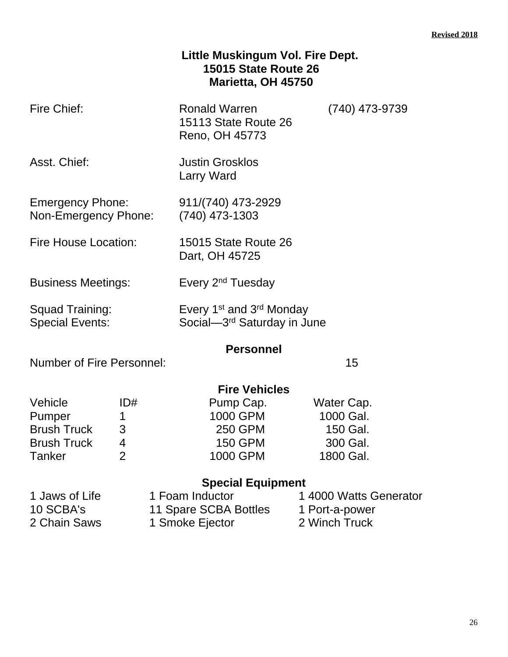### **Little Muskingum Vol. Fire Dept. 15015 State Route 26 Marietta, OH 45750**

| Fire Chief:                                     |                | <b>Ronald Warren</b><br>15113 State Route 26<br>Reno, OH 45773                              | (740) 473-9739         |
|-------------------------------------------------|----------------|---------------------------------------------------------------------------------------------|------------------------|
| Asst. Chief:                                    |                | <b>Justin Grosklos</b><br><b>Larry Ward</b>                                                 |                        |
| <b>Emergency Phone:</b><br>Non-Emergency Phone: |                | 911/(740) 473-2929<br>$(740)$ 473-1303                                                      |                        |
| Fire House Location:                            |                | 15015 State Route 26<br>Dart, OH 45725                                                      |                        |
| <b>Business Meetings:</b>                       |                | Every 2 <sup>nd</sup> Tuesday                                                               |                        |
| Squad Training:<br><b>Special Events:</b>       |                | Every 1 <sup>st</sup> and 3 <sup>rd</sup> Monday<br>Social-3 <sup>rd</sup> Saturday in June |                        |
|                                                 |                | <b>Personnel</b>                                                                            |                        |
| <b>Number of Fire Personnel:</b>                |                |                                                                                             | 15                     |
|                                                 |                | <b>Fire Vehicles</b>                                                                        |                        |
| Vehicle                                         | ID#            | Pump Cap.                                                                                   | Water Cap.             |
| Pumper                                          | 1              | 1000 GPM                                                                                    | 1000 Gal.              |
| <b>Brush Truck</b>                              | 3              | 250 GPM                                                                                     | 150 Gal.               |
| <b>Brush Truck</b>                              | 4              | <b>150 GPM</b>                                                                              | 300 Gal.               |
| Tanker                                          | $\overline{2}$ | 1000 GPM                                                                                    | 1800 Gal.              |
|                                                 |                | <b>Special Equipment</b>                                                                    |                        |
| 1 Jaws of Life                                  |                | 1 Foam Inductor                                                                             | 1 4000 Watts Generator |
| 10 SCBA's                                       |                | 11 Spare SCBA Bottles                                                                       | 1 Port-a-power         |
| 2 Chain Saws                                    |                | 1 Smoke Ejector                                                                             | 2 Winch Truck          |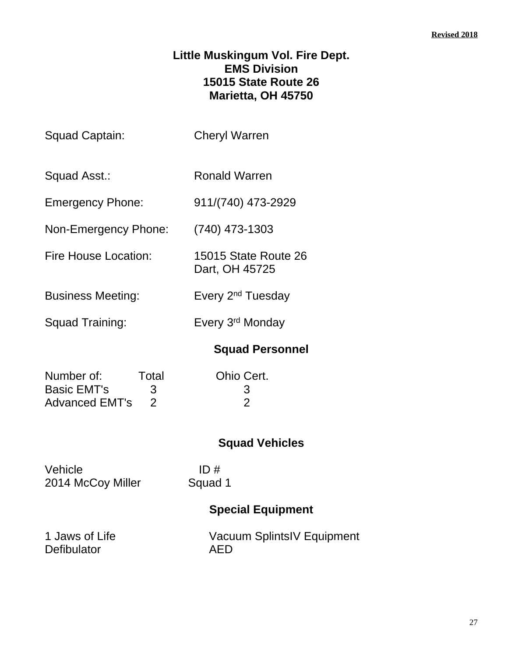### **Little Muskingum Vol. Fire Dept. EMS Division 15015 State Route 26 Marietta, OH 45750**

| Squad Captain:                                                                     | <b>Cheryl Warren</b>                   |  |
|------------------------------------------------------------------------------------|----------------------------------------|--|
| Squad Asst.:                                                                       | <b>Ronald Warren</b>                   |  |
| <b>Emergency Phone:</b>                                                            | 911/(740) 473-2929                     |  |
| Non-Emergency Phone:                                                               | $(740)$ 473-1303                       |  |
| <b>Fire House Location:</b>                                                        | 15015 State Route 26<br>Dart, OH 45725 |  |
| <b>Business Meeting:</b>                                                           | Every 2 <sup>nd</sup> Tuesday          |  |
| Squad Training:                                                                    | Every 3rd Monday                       |  |
|                                                                                    | <b>Squad Personnel</b>                 |  |
| Total<br>Number of:<br>Basic EMT's<br>3<br>$\overline{2}$<br><b>Advanced EMT's</b> | Ohio Cert.<br>3<br>$\overline{2}$      |  |
|                                                                                    | <b>Squad Vehicles</b>                  |  |
| Vehicle<br>2014 McCoy Miller                                                       | ID#<br>Squad 1                         |  |
|                                                                                    | <b>Special Equipment</b>               |  |
|                                                                                    |                                        |  |

Defibulator

1 Jaws of Life Vacuum SplintsIV Equipment<br>Defibulator AED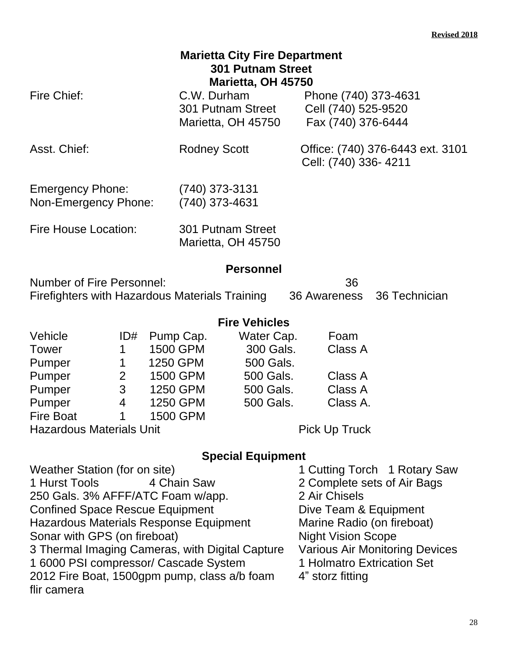| <b>Marietta City Fire Department</b><br><b>301 Putnam Street</b><br>Marietta, OH 45750 |                               |                                         |                                                                                 |                                         |                                                                   |               |
|----------------------------------------------------------------------------------------|-------------------------------|-----------------------------------------|---------------------------------------------------------------------------------|-----------------------------------------|-------------------------------------------------------------------|---------------|
| Fire Chief:                                                                            |                               |                                         | C.W. Durham                                                                     | 301 Putnam Street<br>Marietta, OH 45750 | Phone (740) 373-4631<br>Cell (740) 525-9520<br>Fax (740) 376-6444 |               |
| Asst. Chief:                                                                           |                               |                                         | Office: (740) 376-6443 ext. 3101<br><b>Rodney Scott</b><br>Cell: (740) 336-4211 |                                         |                                                                   |               |
| <b>Emergency Phone:</b><br>Non-Emergency Phone:                                        |                               |                                         | $(740)$ 373-3131<br>(740) 373-4631                                              |                                         |                                                                   |               |
| <b>Fire House Location:</b>                                                            |                               | 301 Putnam Street<br>Marietta, OH 45750 |                                                                                 |                                         |                                                                   |               |
|                                                                                        |                               |                                         |                                                                                 | <b>Personnel</b>                        |                                                                   |               |
| Number of Fire Personnel:<br>Firefighters with Hazardous Materials Training            |                               |                                         |                                                                                 |                                         | 36<br>36 Awareness                                                | 36 Technician |
|                                                                                        |                               |                                         |                                                                                 | <b>Fire Vehicles</b>                    |                                                                   |               |
| Vehicle                                                                                | ID#                           |                                         | Pump Cap.                                                                       | Water Cap.                              | Foam                                                              |               |
| Tower                                                                                  | 1                             | 1500 GPM                                |                                                                                 | 300 Gals.                               | Class A                                                           |               |
| Pumper                                                                                 | $\mathbf 1$<br>$\overline{2}$ | 1250 GPM                                |                                                                                 | 500 Gals.                               | Class A                                                           |               |
| Pumper<br>Pumper                                                                       | 3                             | 1500 GPM                                | 1250 GPM                                                                        | 500 Gals.<br>500 Gals.                  | Class A                                                           |               |
| Pumper                                                                                 | $\overline{4}$                | 1250 GPM                                |                                                                                 | 500 Gals.                               | Class A.                                                          |               |
| <b>Fire Boat</b>                                                                       | $\mathbf 1$                   | 1500 GPM                                |                                                                                 |                                         |                                                                   |               |
| <b>Hazardous Materials Unit</b>                                                        |                               |                                         |                                                                                 |                                         | <b>Pick Up Truck</b>                                              |               |

| 2 Air Chisels                                                                                                                                                                                                                                                                    |                                                                                                                                                                                                                        |
|----------------------------------------------------------------------------------------------------------------------------------------------------------------------------------------------------------------------------------------------------------------------------------|------------------------------------------------------------------------------------------------------------------------------------------------------------------------------------------------------------------------|
|                                                                                                                                                                                                                                                                                  |                                                                                                                                                                                                                        |
|                                                                                                                                                                                                                                                                                  |                                                                                                                                                                                                                        |
|                                                                                                                                                                                                                                                                                  |                                                                                                                                                                                                                        |
|                                                                                                                                                                                                                                                                                  |                                                                                                                                                                                                                        |
|                                                                                                                                                                                                                                                                                  |                                                                                                                                                                                                                        |
| 4" storz fitting                                                                                                                                                                                                                                                                 |                                                                                                                                                                                                                        |
|                                                                                                                                                                                                                                                                                  |                                                                                                                                                                                                                        |
| 4 Chain Saw<br>250 Gals. 3% AFFF/ATC Foam w/app.<br><b>Confined Space Rescue Equipment</b><br>Hazardous Materials Response Equipment<br>3 Thermal Imaging Cameras, with Digital Capture<br>1 6000 PSI compressor/ Cascade System<br>2012 Fire Boat, 1500gpm pump, class a/b foam | 1 Cutting Torch 1 Rotary Saw<br>2 Complete sets of Air Bags<br>Dive Team & Equipment<br>Marine Radio (on fireboat)<br><b>Night Vision Scope</b><br><b>Various Air Monitoring Devices</b><br>1 Holmatro Extrication Set |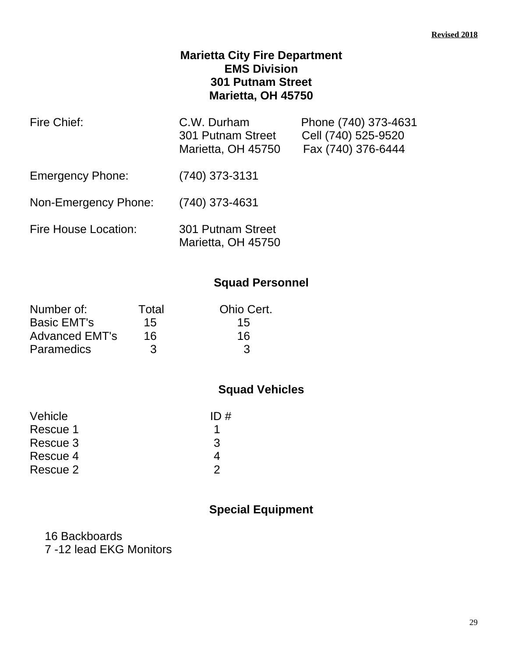### **Marietta City Fire Department EMS Division 301 Putnam Street Marietta, OH 45750**

| Fire Chief:                 | C.W. Durham<br>301 Putnam Street<br>Marietta, OH 45750 | Phone (740) 373-4631<br>Cell (740) 525-9520<br>Fax (740) 376-6444 |
|-----------------------------|--------------------------------------------------------|-------------------------------------------------------------------|
| <b>Emergency Phone:</b>     | (740) 373-3131                                         |                                                                   |
| Non-Emergency Phone:        | $(740)$ 373-4631                                       |                                                                   |
| <b>Fire House Location:</b> | 301 Putnam Street<br>Marietta, OH 45750                |                                                                   |

### **Squad Personnel**

| Number of:            | Total | Ohio Cert. |
|-----------------------|-------|------------|
| <b>Basic EMT's</b>    | 15    | 15         |
| <b>Advanced EMT's</b> | 16    | 16         |
| <b>Paramedics</b>     | 3     | З          |

### **Squad Vehicles**

| ID# |
|-----|

### **Special Equipment**

16 Backboards 7 -12 lead EKG Monitors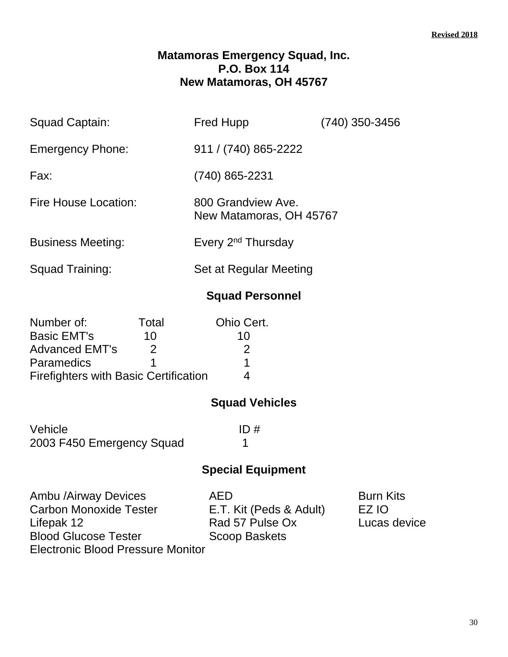#### **Matamoras Emergency Squad, Inc. P.O. Box 114 New Matamoras, OH 45767**

| 911 / (740) 865-2222<br><b>Emergency Phone:</b>                       |  |
|-----------------------------------------------------------------------|--|
|                                                                       |  |
| (740) 865-2231<br>Fax:                                                |  |
| Fire House Location:<br>800 Grandview Ave.<br>New Matamoras, OH 45767 |  |
| Every 2 <sup>nd</sup> Thursday<br><b>Business Meeting:</b>            |  |
| Squad Training:<br>Set at Regular Meeting                             |  |

### **Squad Personnel**

| Number of:                                   | Total | Ohio Cert.                                                                                                                                                                                                                                                                                                                                                                                                                                                                                      |
|----------------------------------------------|-------|-------------------------------------------------------------------------------------------------------------------------------------------------------------------------------------------------------------------------------------------------------------------------------------------------------------------------------------------------------------------------------------------------------------------------------------------------------------------------------------------------|
| <b>Basic EMT's</b>                           | 10    | 10                                                                                                                                                                                                                                                                                                                                                                                                                                                                                              |
| <b>Advanced EMT's</b>                        | 2     | $\mathcal{D}% =\mathcal{D}_{\mathcal{D}}\left( \mathcal{D}_{\mathcal{D}}\right) ^{\ast}\mathcal{D}_{\mathcal{D}}\left( \mathcal{D}_{\mathcal{D}}\right) ^{\ast}\mathcal{D}_{\mathcal{D}}\left( \mathcal{D}_{\mathcal{D}}\right) ^{\ast}\mathcal{D}_{\mathcal{D}}\left( \mathcal{D}_{\mathcal{D}}\right) ^{\ast}\mathcal{D}_{\mathcal{D}}\left( \mathcal{D}_{\mathcal{D}}\right) \mathcal{D}_{\mathcal{D}}\left( \mathcal{D}_{\mathcal{D}}\right) \mathcal{D}_{\mathcal{D}}\left( \mathcal{D}_{$ |
| <b>Paramedics</b>                            |       |                                                                                                                                                                                                                                                                                                                                                                                                                                                                                                 |
| <b>Firefighters with Basic Certification</b> |       |                                                                                                                                                                                                                                                                                                                                                                                                                                                                                                 |

### **Squad Vehicles**

Vehicle ID # 2003 F450 Emergency Squad 1

### **Special Equipment**

Ambu /Airway Devices <br>
Carbon Monoxide Tester 
B.T. Kit (Peds & Adult) EZ IO Carbon Monoxide Tester E.T. Kit (Peds & Adult) EZ IO<br>Lifepak 12 Fad 57 Pulse Ox Lucas Blood Glucose Tester Electronic Blood Pressure Monitor

Rad 57 Pulse Ox Lucas device<br>Scoop Baskets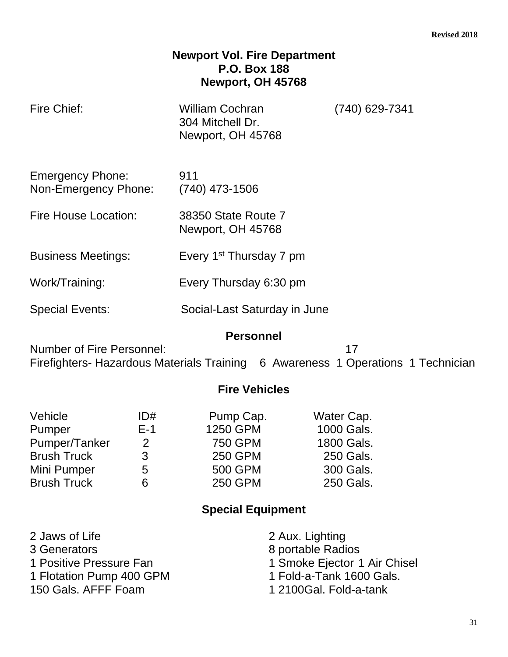### **Newport Vol. Fire Department P.O. Box 188 Newport, OH 45768**

| Fire Chief:                                                                                                                             | <b>William Cochran</b><br>304 Mitchell Dr.<br>Newport, OH 45768 | (740) 629-7341 |  |  |
|-----------------------------------------------------------------------------------------------------------------------------------------|-----------------------------------------------------------------|----------------|--|--|
| <b>Emergency Phone:</b><br>Non-Emergency Phone:                                                                                         | 911<br>$(740)$ 473-1506                                         |                |  |  |
| Fire House Location:                                                                                                                    | 38350 State Route 7<br>Newport, OH 45768                        |                |  |  |
| <b>Business Meetings:</b>                                                                                                               | Every 1 <sup>st</sup> Thursday 7 pm                             |                |  |  |
| Work/Training:                                                                                                                          | Every Thursday 6:30 pm                                          |                |  |  |
| <b>Special Events:</b>                                                                                                                  | Social-Last Saturday in June                                    |                |  |  |
| <b>Personnel</b><br>Number of Fire Personnel:<br>17<br>Firefighters- Hazardous Materials Training 6 Awareness 1 Operations 1 Technician |                                                                 |                |  |  |
| <b>Fire Vehicles</b>                                                                                                                    |                                                                 |                |  |  |
|                                                                                                                                         |                                                                 |                |  |  |

| Vehicle            | ID#           | Pump Cap.      | Water Cap. |
|--------------------|---------------|----------------|------------|
| Pumper             | $E-1$         | 1250 GPM       | 1000 Gals. |
| Pumper/Tanker      | $\mathcal{P}$ | <b>750 GPM</b> | 1800 Gals. |
| <b>Brush Truck</b> | 3             | <b>250 GPM</b> | 250 Gals.  |
| Mini Pumper        | 5             | <b>500 GPM</b> | 300 Gals.  |
| <b>Brush Truck</b> | 6             | <b>250 GPM</b> | 250 Gals.  |

| 2 Jaws of Life           | 2 Aux. Lighting              |
|--------------------------|------------------------------|
| 3 Generators             | 8 portable Radios            |
| 1 Positive Pressure Fan  | 1 Smoke Ejector 1 Air Chisel |
| 1 Flotation Pump 400 GPM | 1 Fold-a-Tank 1600 Gals.     |
| 150 Gals. AFFF Foam      | 1 2100Gal. Fold-a-tank       |
|                          |                              |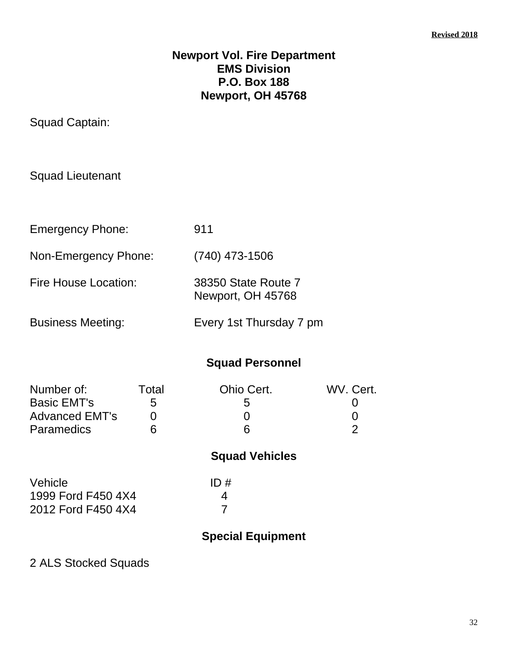#### **Newport Vol. Fire Department EMS Division P.O. Box 188 Newport, OH 45768**

Squad Captain:

Squad Lieutenant

| <b>Emergency Phone:</b>     | 911                                      |
|-----------------------------|------------------------------------------|
| Non-Emergency Phone:        | $(740)$ 473-1506                         |
| <b>Fire House Location:</b> | 38350 State Route 7<br>Newport, OH 45768 |
| <b>Business Meeting:</b>    | Every 1st Thursday 7 pm                  |

**Squad Personnel**

| Number of:<br><b>Basic EMT's</b><br><b>Advanced EMT's</b><br>Paramedics | Total<br>5<br>6 | Ohio Cert.<br>5<br>6     | WV. Cert.<br>U<br>0<br>$\overline{2}$ |
|-------------------------------------------------------------------------|-----------------|--------------------------|---------------------------------------|
|                                                                         |                 | <b>Squad Vehicles</b>    |                                       |
| Vehicle<br>1999 Ford F450 4X4<br>2012 Ford F450 4X4                     |                 | ID#<br>4                 |                                       |
|                                                                         |                 | <b>Special Equipment</b> |                                       |

2 ALS Stocked Squads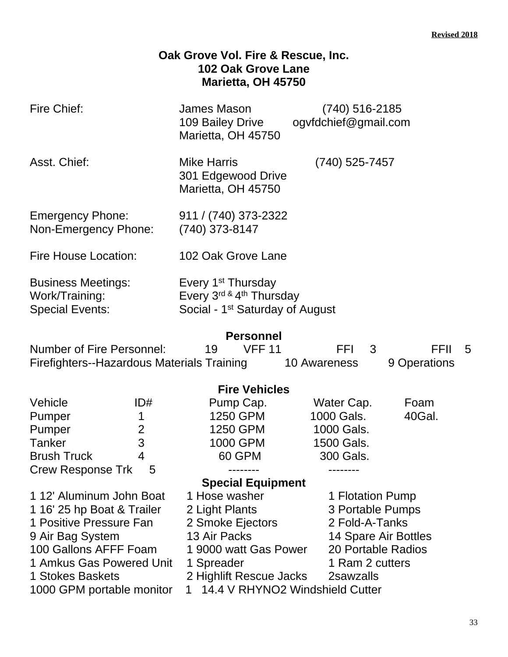### **Oak Grove Vol. Fire & Rescue, Inc. 102 Oak Grove Lane Marietta, OH 45750**

| <b>Fire Chief:</b>                                                                                                                                                                          |                                      | James Mason<br>109 Bailey Drive<br>Marietta, OH 45750                                                                                 | (740) 516-2185<br>ogvfdchief@gmail.com                                                                                               |                |
|---------------------------------------------------------------------------------------------------------------------------------------------------------------------------------------------|--------------------------------------|---------------------------------------------------------------------------------------------------------------------------------------|--------------------------------------------------------------------------------------------------------------------------------------|----------------|
| Asst. Chief:                                                                                                                                                                                |                                      | <b>Mike Harris</b><br>301 Edgewood Drive<br>Marietta, OH 45750                                                                        | (740) 525-7457                                                                                                                       |                |
| <b>Emergency Phone:</b><br>Non-Emergency Phone:                                                                                                                                             |                                      | 911 / (740) 373-2322<br>(740) 373-8147                                                                                                |                                                                                                                                      |                |
| <b>Fire House Location:</b>                                                                                                                                                                 |                                      | 102 Oak Grove Lane                                                                                                                    |                                                                                                                                      |                |
| <b>Business Meetings:</b><br>Work/Training:<br><b>Special Events:</b>                                                                                                                       |                                      | Every 1 <sup>st</sup> Thursday<br>Every 3rd & 4th Thursday<br>Social - 1 <sup>st</sup> Saturday of August                             |                                                                                                                                      |                |
| <b>Personnel</b><br><b>Number of Fire Personnel:</b><br><b>VFF 11</b><br><b>FFI</b><br><b>FFIL</b><br>3<br>19<br>Firefighters--Hazardous Materials Training<br>9 Operations<br>10 Awareness |                                      |                                                                                                                                       |                                                                                                                                      | -5             |
|                                                                                                                                                                                             |                                      | <b>Fire Vehicles</b>                                                                                                                  |                                                                                                                                      |                |
| Vehicle<br>Pumper<br>Pumper<br><b>Tanker</b><br><b>Brush Truck</b>                                                                                                                          | ID#<br>1<br>$\overline{2}$<br>3<br>4 | Pump Cap.<br>1250 GPM<br>1250 GPM<br>1000 GPM<br>60 GPM                                                                               | Water Cap.<br>1000 Gals.<br>1000 Gals.<br>1500 Gals.<br>300 Gals.                                                                    | Foam<br>40Gal. |
| <b>Crew Response Trk</b>                                                                                                                                                                    |                                      | --------                                                                                                                              |                                                                                                                                      |                |
|                                                                                                                                                                                             |                                      | <b>Special Equipment</b>                                                                                                              |                                                                                                                                      |                |
| 1 12' Aluminum John Boat<br>1 16' 25 hp Boat & Trailer<br>1 Positive Pressure Fan<br>9 Air Bag System<br>100 Gallons AFFF Foam<br>1 Amkus Gas Powered Unit<br>1 Stokes Baskets              |                                      | 1 Hose washer<br>2 Light Plants<br>2 Smoke Ejectors<br>13 Air Packs<br>1 9000 watt Gas Power<br>1 Spreader<br>2 Highlift Rescue Jacks | 1 Flotation Pump<br>3 Portable Pumps<br>2 Fold-A-Tanks<br>14 Spare Air Bottles<br>20 Portable Radios<br>1 Ram 2 cutters<br>2sawzalls |                |
| 14.4 V RHYNO2 Windshield Cutter<br>1000 GPM portable monitor                                                                                                                                |                                      |                                                                                                                                       |                                                                                                                                      |                |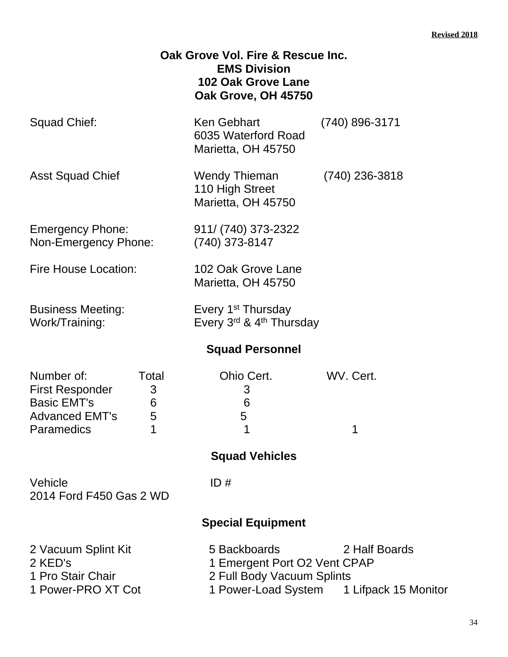|                                                                                                                    | Oak Grove Vol. Fire & Rescue Inc.<br><b>EMS Division</b><br><b>102 Oak Grove Lane</b><br>Oak Grove, OH 45750 |                                                           |
|--------------------------------------------------------------------------------------------------------------------|--------------------------------------------------------------------------------------------------------------|-----------------------------------------------------------|
| <b>Squad Chief:</b>                                                                                                | Ken Gebhart<br>6035 Waterford Road<br>Marietta, OH 45750                                                     | (740) 896-3171                                            |
| Asst Squad Chief                                                                                                   | <b>Wendy Thieman</b><br>110 High Street<br>Marietta, OH 45750                                                | $(740)$ 236-3818                                          |
| <b>Emergency Phone:</b><br>Non-Emergency Phone:                                                                    | 911/ (740) 373-2322<br>(740) 373-8147                                                                        |                                                           |
| <b>Fire House Location:</b>                                                                                        | 102 Oak Grove Lane<br>Marietta, OH 45750                                                                     |                                                           |
| <b>Business Meeting:</b><br>Work/Training:                                                                         | Every 1 <sup>st</sup> Thursday<br>Every 3rd & 4th Thursday                                                   |                                                           |
|                                                                                                                    | <b>Squad Personnel</b>                                                                                       |                                                           |
| Number of:<br>Total<br><b>First Responder</b><br>3<br><b>Basic EMT's</b><br>6<br>Advanced EMT's<br>5<br>Paramedics | Ohio Cert.<br>3<br>6<br>5                                                                                    | WV. Cert.                                                 |
|                                                                                                                    | <b>Squad Vehicles</b>                                                                                        |                                                           |
| Vehicle<br>2014 Ford F450 Gas 2 WD                                                                                 | ID#                                                                                                          |                                                           |
|                                                                                                                    | <b>Special Equipment</b>                                                                                     |                                                           |
| 2 Vacuum Splint Kit<br>2 KED's<br>1 Pro Stair Chair<br>1 Power-PRO XT Cot                                          | 5 Backboards<br>1 Emergent Port O2 Vent CPAP<br>2 Full Body Vacuum Splints                                   | 2 Half Boards<br>1 Power-Load System 1 Lifpack 15 Monitor |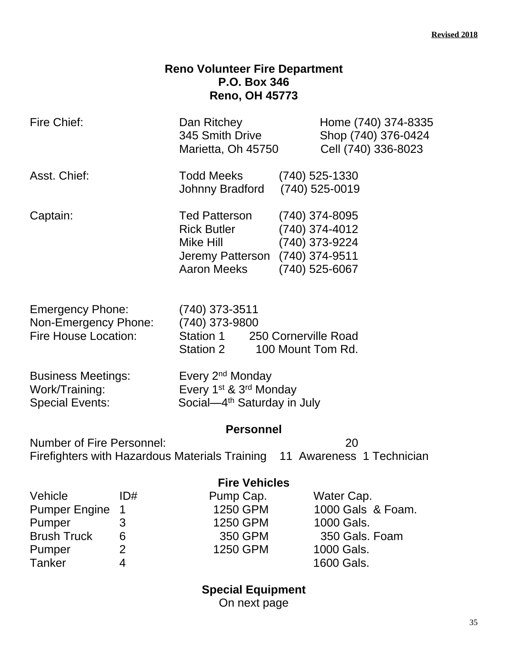### **Reno Volunteer Fire Department P.O. Box 346 Reno, OH 45773**

| Fire Chief:                                                                    |                | Dan Ritchey<br>345 Smith Drive<br>Marietta, Oh 45750                                                                      | Home (740) 374-8335<br>Shop (740) 376-0424<br>Cell (740) 336-8023                      |
|--------------------------------------------------------------------------------|----------------|---------------------------------------------------------------------------------------------------------------------------|----------------------------------------------------------------------------------------|
| Asst. Chief:                                                                   |                | Todd Meeks<br>Johnny Bradford                                                                                             | $(740)$ 525-1330<br>$(740)$ 525-0019                                                   |
| Captain:                                                                       |                | <b>Ted Patterson</b><br><b>Rick Butler</b><br>Mike Hill<br>Jeremy Patterson<br><b>Aaron Meeks</b>                         | (740) 374-8095<br>(740) 374-4012<br>(740) 373-9224<br>(740) 374-9511<br>(740) 525-6067 |
| <b>Emergency Phone:</b><br>Non-Emergency Phone:<br><b>Fire House Location:</b> |                | (740) 373-3511<br>(740) 373-9800<br>Station 1<br>Station 2                                                                | 250 Cornerville Road<br>100 Mount Tom Rd.                                              |
| <b>Business Meetings:</b><br>Work/Training:<br><b>Special Events:</b>          |                | Every 2 <sup>nd</sup> Monday<br>Every 1 <sup>st</sup> & 3 <sup>rd</sup> Monday<br>Social-4 <sup>th</sup> Saturday in July |                                                                                        |
| <b>Number of Fire Personnel:</b>                                               |                | <b>Personnel</b>                                                                                                          | 20<br>Firefighters with Hazardous Materials Training 11 Awareness 1 Technician         |
|                                                                                |                | <b>Fire Vehicles</b>                                                                                                      |                                                                                        |
| Vehicle                                                                        | ID#            | Pump Cap.                                                                                                                 | Water Cap.                                                                             |
| <b>Pumper Engine</b>                                                           | 1              | 1250 GPM                                                                                                                  | 1000 Gals & Foam.                                                                      |
| Pumper                                                                         | 3              | 1250 GPM                                                                                                                  | 1000 Gals.                                                                             |
| <b>Brush Truck</b>                                                             | 6              | 350 GPM                                                                                                                   | 350 Gals. Foam                                                                         |
| Pumper                                                                         | $\overline{2}$ | 1250 GPM                                                                                                                  | 1000 Gals.                                                                             |
| <b>Tanker</b>                                                                  | 4              |                                                                                                                           | 1600 Gals.                                                                             |

**Special Equipment**

On next page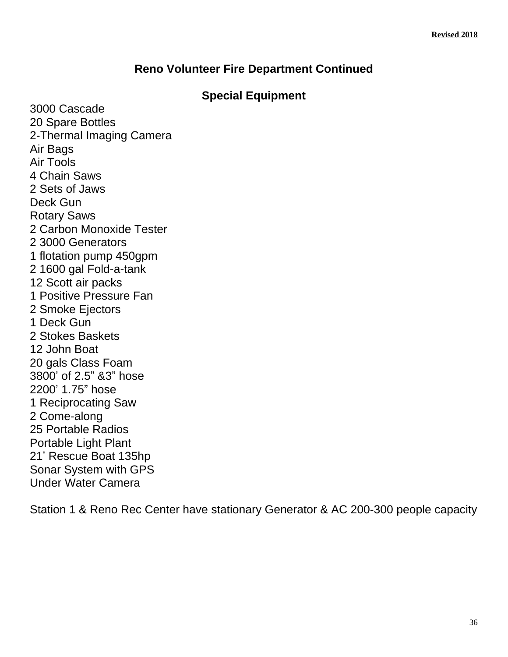### **Reno Volunteer Fire Department Continued**

### **Special Equipment**

3000 Cascade 20 Spare Bottles 2-Thermal Imaging Camera Air Bags Air Tools 4 Chain Saws 2 Sets of Jaws Deck Gun Rotary Saws 2 Carbon Monoxide Tester 2 3000 Generators 1 flotation pump 450gpm 2 1600 gal Fold-a-tank 12 Scott air packs 1 Positive Pressure Fan 2 Smoke Ejectors 1 Deck Gun 2 Stokes Baskets 12 John Boat 20 gals Class Foam 3800' of 2.5" &3" hose 2200' 1.75" hose 1 Reciprocating Saw 2 Come-along 25 Portable Radios Portable Light Plant 21' Rescue Boat 135hp Sonar System with GPS Under Water Camera

Station 1 & Reno Rec Center have stationary Generator & AC 200-300 people capacity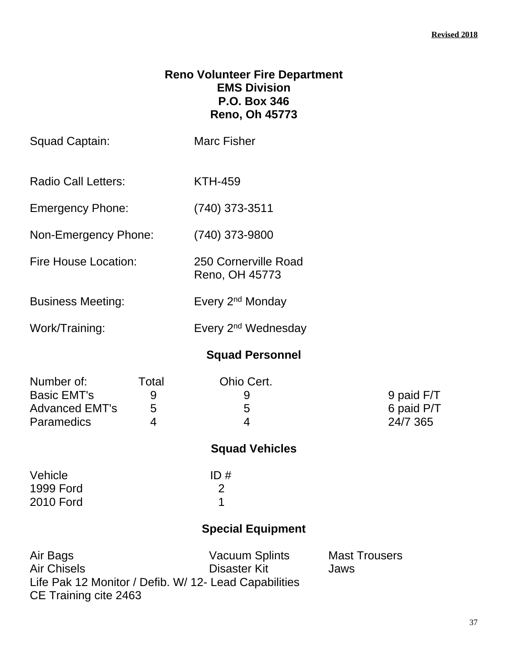### **Reno Volunteer Fire Department EMS Division P.O. Box 346 Reno, Oh 45773**

| Squad Captain:                                                                 |                                   | <b>Marc Fisher</b>                                                                             |                                      |
|--------------------------------------------------------------------------------|-----------------------------------|------------------------------------------------------------------------------------------------|--------------------------------------|
| <b>Radio Call Letters:</b>                                                     |                                   | <b>KTH-459</b>                                                                                 |                                      |
| <b>Emergency Phone:</b>                                                        |                                   | $(740)$ 373-3511                                                                               |                                      |
| Non-Emergency Phone:                                                           |                                   | (740) 373-9800                                                                                 |                                      |
| <b>Fire House Location:</b>                                                    |                                   | 250 Cornerville Road<br>Reno, OH 45773                                                         |                                      |
| <b>Business Meeting:</b>                                                       |                                   | Every 2 <sup>nd</sup> Monday                                                                   |                                      |
| Work/Training:                                                                 |                                   | Every 2 <sup>nd</sup> Wednesday                                                                |                                      |
|                                                                                |                                   | <b>Squad Personnel</b>                                                                         |                                      |
| Number of:<br><b>Basic EMT's</b><br><b>Advanced EMT's</b><br><b>Paramedics</b> | Total<br>9<br>5<br>$\overline{4}$ | Ohio Cert.<br>9<br>5<br>$\overline{4}$                                                         | 9 paid F/T<br>6 paid P/T<br>24/7 365 |
|                                                                                |                                   | <b>Squad Vehicles</b>                                                                          |                                      |
| Vehicle<br><b>1999 Ford</b><br><b>2010 Ford</b>                                |                                   | ID#<br>$\overline{2}$<br>1                                                                     |                                      |
|                                                                                |                                   | <b>Special Equipment</b>                                                                       |                                      |
| Air Bags<br><b>Air Chisels</b><br>CE Training cite 2463                        |                                   | <b>Vacuum Splints</b><br>Disaster Kit<br>Life Pak 12 Monitor / Defib. W/ 12- Lead Capabilities | <b>Mast Trousers</b><br>Jaws         |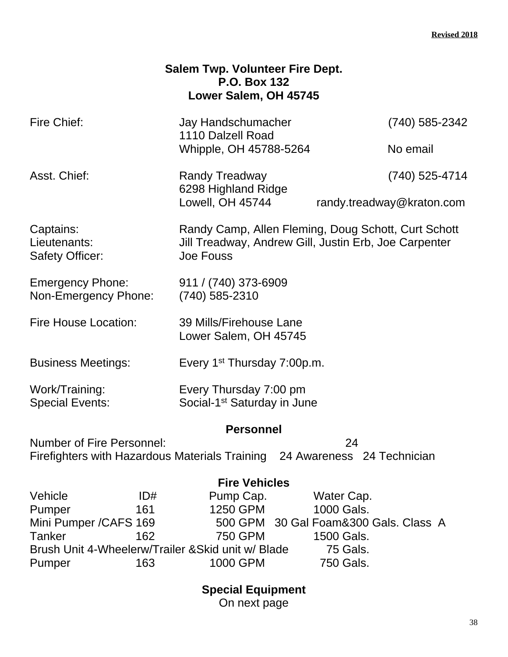|                                                                                                               |     | <b>Salem Twp. Volunteer Fire Dept.</b><br><b>P.O. Box 132</b><br>Lower Salem, OH 45745                                    |                                       |                           |
|---------------------------------------------------------------------------------------------------------------|-----|---------------------------------------------------------------------------------------------------------------------------|---------------------------------------|---------------------------|
| Fire Chief:                                                                                                   |     | Jay Handschumacher                                                                                                        |                                       | (740) 585-2342            |
|                                                                                                               |     | 1110 Dalzell Road<br>Whipple, OH 45788-5264                                                                               |                                       | No email                  |
| Asst. Chief:                                                                                                  |     | <b>Randy Treadway</b>                                                                                                     |                                       | (740) 525-4714            |
|                                                                                                               |     | 6298 Highland Ridge<br>Lowell, OH 45744                                                                                   |                                       | randy.treadway@kraton.com |
| Captains:<br>Lieutenants:<br><b>Safety Officer:</b>                                                           |     | Randy Camp, Allen Fleming, Doug Schott, Curt Schott<br>Jill Treadway, Andrew Gill, Justin Erb, Joe Carpenter<br>Joe Fouss |                                       |                           |
| <b>Emergency Phone:</b><br>Non-Emergency Phone:                                                               |     | 911 / (740) 373-6909<br>(740) 585-2310                                                                                    |                                       |                           |
| Fire House Location:                                                                                          |     | 39 Mills/Firehouse Lane<br>Lower Salem, OH 45745                                                                          |                                       |                           |
| <b>Business Meetings:</b>                                                                                     |     | Every 1 <sup>st</sup> Thursday 7:00p.m.                                                                                   |                                       |                           |
| Work/Training:<br><b>Special Events:</b>                                                                      |     | Every Thursday 7:00 pm<br>Social-1 <sup>st</sup> Saturday in June                                                         |                                       |                           |
|                                                                                                               |     | <b>Personnel</b>                                                                                                          |                                       |                           |
| <b>Number of Fire Personnel:</b><br>Firefighters with Hazardous Materials Training 24 Awareness 24 Technician |     |                                                                                                                           | 24                                    |                           |
|                                                                                                               |     | <b>Fire Vehicles</b>                                                                                                      |                                       |                           |
| Vehicle                                                                                                       | ID# | Pump Cap.                                                                                                                 | Water Cap.                            |                           |
| Pumper                                                                                                        | 161 | 1250 GPM                                                                                                                  | 1000 Gals.                            |                           |
| Mini Pumper / CAFS 169                                                                                        |     |                                                                                                                           | 500 GPM 30 Gal Foam&300 Gals. Class A |                           |
| <b>Tanker</b>                                                                                                 | 162 | <b>750 GPM</b>                                                                                                            | 1500 Gals.                            |                           |
| Brush Unit 4-Wheelerw/Trailer & Skid unit w/ Blade                                                            |     |                                                                                                                           | <b>75 Gals.</b>                       |                           |
| Pumper                                                                                                        | 163 | 1000 GPM                                                                                                                  | 750 Gals.                             |                           |

**Special Equipment** On next page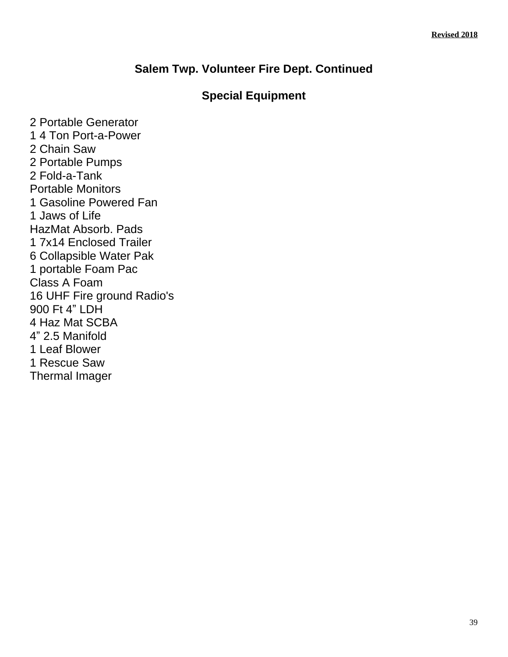### **Salem Twp. Volunteer Fire Dept. Continued**

### **Special Equipment**

2 Portable Generator 1 4 Ton Port-a-Power 2 Chain Saw 2 Portable Pumps 2 Fold-a-Tank Portable Monitors 1 Gasoline Powered Fan 1 Jaws of Life HazMat Absorb. Pads 1 7x14 Enclosed Trailer 6 Collapsible Water Pak 1 portable Foam Pac Class A Foam 16 UHF Fire ground Radio's 900 Ft 4" LDH 4 Haz Mat SCBA 4" 2.5 Manifold 1 Leaf Blower 1 Rescue Saw Thermal Imager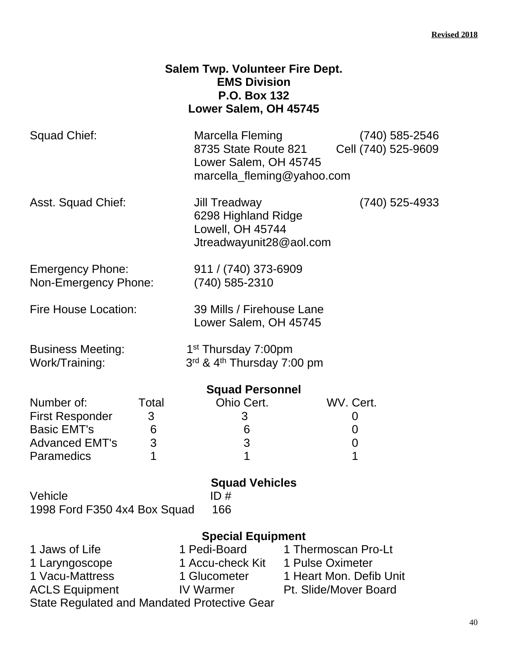|                                                 | <b>Salem Twp. Volunteer Fire Dept.</b><br><b>EMS Division</b><br><b>P.O. Box 132</b><br>Lower Salem, OH 45745 |                                         |
|-------------------------------------------------|---------------------------------------------------------------------------------------------------------------|-----------------------------------------|
| Squad Chief:                                    | Marcella Fleming<br>8735 State Route 821<br>Lower Salem, OH 45745<br>marcella_fleming@yahoo.com               | $(740)$ 585-2546<br>Cell (740) 525-9609 |
| Asst. Squad Chief:                              | Jill Treadway<br>6298 Highland Ridge<br>Lowell, OH 45744<br>Jtreadwayunit28@aol.com                           | (740) 525-4933                          |
| <b>Emergency Phone:</b><br>Non-Emergency Phone: | 911 / (740) 373-6909<br>$(740)$ 585-2310                                                                      |                                         |
| <b>Fire House Location:</b>                     | 39 Mills / Firehouse Lane<br>Lower Salem, OH 45745                                                            |                                         |
| <b>Business Meeting:</b><br>Work/Training:      | 1 <sup>st</sup> Thursday 7:00pm<br>3rd & 4th Thursday 7:00 pm                                                 |                                         |
|                                                 | <b>Squad Personnel</b>                                                                                        |                                         |
| Number of:<br>Total                             | Ohio Cert.                                                                                                    | WV. Cert.                               |
| <b>First Responder</b><br>3                     | 3                                                                                                             | 0                                       |
| <b>Basic EMT's</b><br>6                         | 6                                                                                                             | 0                                       |
| <b>Advanced EMT's</b><br>3                      | 3                                                                                                             | 0                                       |
| 1<br>Paramedics                                 | 1                                                                                                             | 1                                       |
|                                                 | <b>Squad Vehicles</b>                                                                                         |                                         |
| Vehicle<br>1998 Ford F350 4x4 Box Squad         | ID#<br>166                                                                                                    |                                         |
|                                                 | <b>Special Equipment</b>                                                                                      |                                         |
| 1 Jaws of Life                                  | 1 Pedi-Board                                                                                                  | 1 Thermoscan Pro-Lt                     |
| 1 Laryngoscope                                  | 1 Accu-check Kit 1 Pulse Oximeter                                                                             |                                         |
| 1 Vacu-Mattress                                 |                                                                                                               | 1 Glucometer 1 Heart Mon. Defib Unit    |
| <b>ACLS Equipment</b>                           | <b>IV Warmer</b>                                                                                              | <b>Pt. Slide/Mover Board</b>            |
| State Regulated and Mandated Protective Gear    |                                                                                                               |                                         |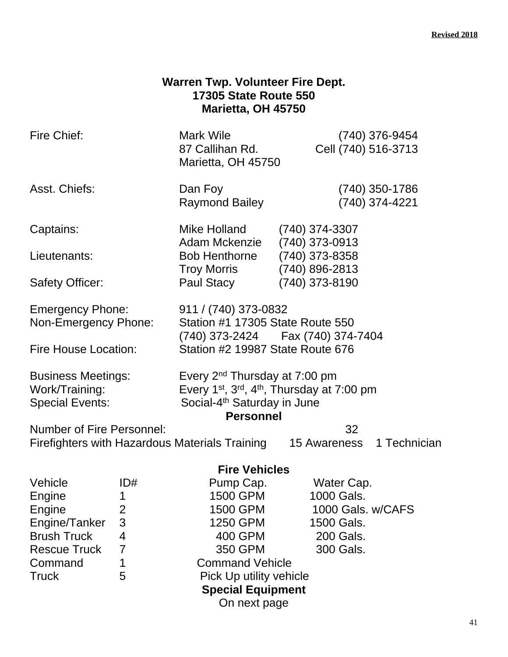### **Warren Twp. Volunteer Fire Dept. 17305 State Route 550 Marietta, OH 45750**

| Fire Chief:                                                                    |                           | Mark Wile<br>87 Callihan Rd.<br>Marietta, OH 45750                                                                                  | (740) 376-9454<br>Cell (740) 516-3713                                                                                                                                   |              |  |
|--------------------------------------------------------------------------------|---------------------------|-------------------------------------------------------------------------------------------------------------------------------------|-------------------------------------------------------------------------------------------------------------------------------------------------------------------------|--------------|--|
| Asst. Chiefs:                                                                  |                           | Dan Foy<br><b>Raymond Bailey</b>                                                                                                    | (740) 350-1786<br>(740) 374-4221                                                                                                                                        |              |  |
| Captains:                                                                      |                           | Mike Holland<br>Adam Mckenzie                                                                                                       | $(740)$ 374-3307<br>$(740)$ 373-0913                                                                                                                                    |              |  |
| Lieutenants:                                                                   |                           | <b>Bob Henthorne</b><br><b>Troy Morris</b>                                                                                          | (740) 373-8358<br>$(740)$ 896-2813                                                                                                                                      |              |  |
| <b>Safety Officer:</b>                                                         |                           | Paul Stacy                                                                                                                          | (740) 373-8190                                                                                                                                                          |              |  |
| <b>Emergency Phone:</b><br>Non-Emergency Phone:<br><b>Fire House Location:</b> |                           | 911 / (740) 373-0832<br>Station #1 17305 State Route 550<br>(740) 373-2424   Fax (740) 374-7404<br>Station #2 19987 State Route 676 |                                                                                                                                                                         |              |  |
| Work/Training:<br><b>Special Events:</b>                                       | <b>Business Meetings:</b> |                                                                                                                                     | Every 2 <sup>nd</sup> Thursday at 7:00 pm<br>Every 1 <sup>st</sup> , 3 <sup>rd</sup> , 4 <sup>th</sup> , Thursday at 7:00 pm<br>Social-4 <sup>th</sup> Saturday in June |              |  |
|                                                                                |                           | <b>Personnel</b>                                                                                                                    |                                                                                                                                                                         |              |  |
| <b>Number of Fire Personnel:</b>                                               |                           | Firefighters with Hazardous Materials Training                                                                                      | 32<br>15 Awareness                                                                                                                                                      | 1 Technician |  |
|                                                                                |                           | <b>Fire Vehicles</b>                                                                                                                |                                                                                                                                                                         |              |  |
| Vehicle                                                                        | ID#                       | Pump Cap.                                                                                                                           | Water Cap.                                                                                                                                                              |              |  |
| Engine                                                                         | $\mathbf 1$               | 1500 GPM                                                                                                                            | 1000 Gals.                                                                                                                                                              |              |  |
| Engine                                                                         | 2                         | 1500 GPM                                                                                                                            | 1000 Gals. w/CAFS                                                                                                                                                       |              |  |
| Engine/Tanker                                                                  | 3                         | 1250 GPM                                                                                                                            | 1500 Gals.                                                                                                                                                              |              |  |
| <b>Brush Truck</b>                                                             | 4                         | 400 GPM                                                                                                                             | 200 Gals.                                                                                                                                                               |              |  |
| <b>Rescue Truck</b>                                                            | 7                         | 350 GPM                                                                                                                             | 300 Gals.                                                                                                                                                               |              |  |
| Command                                                                        |                           | <b>Command Vehicle</b>                                                                                                              |                                                                                                                                                                         |              |  |
| <b>Truck</b><br>5<br>Pick Up utility vehicle                                   |                           |                                                                                                                                     |                                                                                                                                                                         |              |  |
|                                                                                |                           | <b>Special Equipment</b>                                                                                                            |                                                                                                                                                                         |              |  |
|                                                                                |                           | On next page                                                                                                                        |                                                                                                                                                                         |              |  |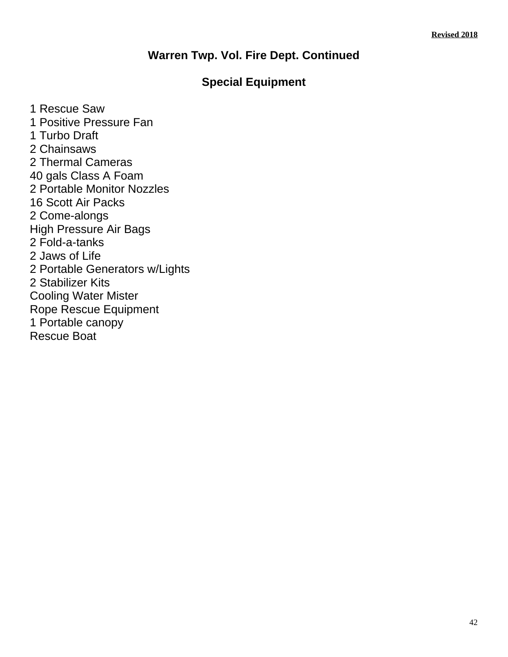### **Warren Twp. Vol. Fire Dept. Continued**

### **Special Equipment**

1 Rescue Saw 1 Positive Pressure Fan 1 Turbo Draft 2 Chainsaws 2 Thermal Cameras 40 gals Class A Foam 2 Portable Monitor Nozzles 16 Scott Air Packs 2 Come-alongs High Pressure Air Bags 2 Fold-a-tanks 2 Jaws of Life 2 Portable Generators w/Lights 2 Stabilizer Kits Cooling Water Mister Rope Rescue Equipment 1 Portable canopy Rescue Boat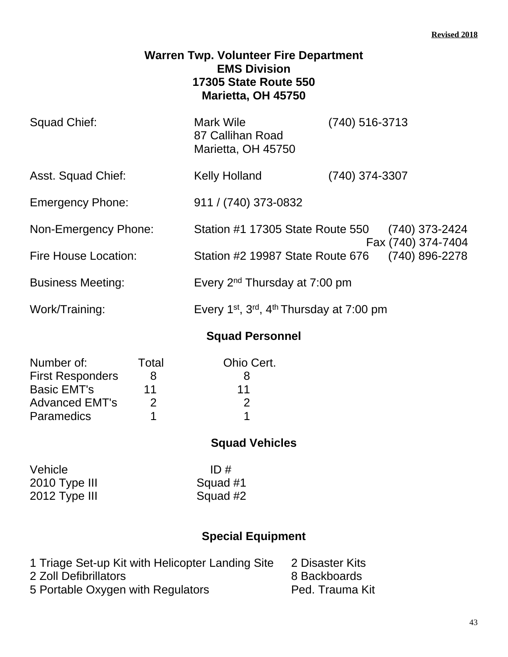### **Warren Twp. Volunteer Fire Department EMS Division 17305 State Route 550 Marietta, OH 45750**

| Squad Chief:             | <b>Mark Wile</b><br>87 Callihan Road<br>Marietta, OH 45750                    | $(740)$ 516-3713                     |
|--------------------------|-------------------------------------------------------------------------------|--------------------------------------|
| Asst. Squad Chief:       | <b>Kelly Holland</b>                                                          | (740) 374-3307                       |
| <b>Emergency Phone:</b>  | 911 / (740) 373-0832                                                          |                                      |
| Non-Emergency Phone:     | Station #1 17305 State Route 550                                              | (740) 373-2424<br>Fax (740) 374-7404 |
| Fire House Location:     | Station #2 19987 State Route 676                                              | (740) 896-2278                       |
| <b>Business Meeting:</b> | Every 2 <sup>nd</sup> Thursday at 7:00 pm                                     |                                      |
| Work/Training:           | Every 1 <sup>st</sup> , 3 <sup>rd</sup> , 4 <sup>th</sup> Thursday at 7:00 pm |                                      |

### **Squad Personnel**

| Number of:              | Total | Ohio Cert. |
|-------------------------|-------|------------|
| <b>First Responders</b> | x     |            |
| <b>Basic EMT's</b>      | 11    | 11         |
| <b>Advanced EMT's</b>   | 2     |            |
| <b>Paramedics</b>       |       |            |

### **Squad Vehicles**

| Vehicle       | ID#      |
|---------------|----------|
| 2010 Type III | Squad #1 |
| 2012 Type III | Squad #2 |

| 1 Triage Set-up Kit with Helicopter Landing Site | 2 Disaster Kits |
|--------------------------------------------------|-----------------|
| 2 Zoll Defibrillators                            | 8 Backboards    |
| 5 Portable Oxygen with Regulators                | Ped. Trauma Kit |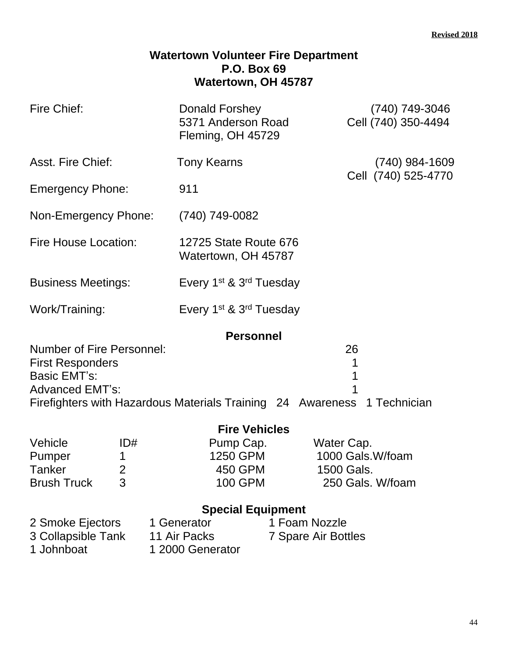#### **Watertown Volunteer Fire Department P.O. Box 69 Watertown, OH 45787**

| Fire Chief:                                   | Donald Forshey<br>5371 Anderson Road<br>Fleming, OH 45729 | (740) 749-3046<br>Cell (740) 350-4494 |
|-----------------------------------------------|-----------------------------------------------------------|---------------------------------------|
| Asst. Fire Chief:                             | <b>Tony Kearns</b>                                        | $(740)$ 984-1609                      |
| <b>Emergency Phone:</b>                       | 911                                                       | Cell (740) 525-4770                   |
| Non-Emergency Phone:                          | (740) 749-0082                                            |                                       |
| Fire House Location:                          | 12725 State Route 676<br>Watertown, OH 45787              |                                       |
| <b>Business Meetings:</b>                     | Every 1 <sup>st</sup> & 3 <sup>rd</sup> Tuesday           |                                       |
| Work/Training:                                | Every 1 <sup>st</sup> & 3 <sup>rd</sup> Tuesday           |                                       |
| Number of Fire Personnel:<br>Firet Poenondore | <b>Personnel</b>                                          | 26<br>1                               |

First Responders 1<br>Basic EMT's: 1 Basic EMT's: Advanced EMT's: 1 Firefighters with Hazardous Materials Training 24 Awareness 1 Technician

|                    |     | <b>Fire Vehicles</b> |                  |
|--------------------|-----|----------------------|------------------|
| Vehicle            | ID# | Pump Cap.            | Water Cap.       |
| Pumper             |     | 1250 GPM             | 1000 Gals.W/foam |
| Tanker             |     | 450 GPM              | 1500 Gals.       |
| <b>Brush Truck</b> | 3   | <b>100 GPM</b>       | 250 Gals. W/foam |

| 2 Smoke Ejectors   | 1 Generator      | 1 Foam Nozzle       |
|--------------------|------------------|---------------------|
| 3 Collapsible Tank | 11 Air Packs     | 7 Spare Air Bottles |
| 1 Johnboat         | 1 2000 Generator |                     |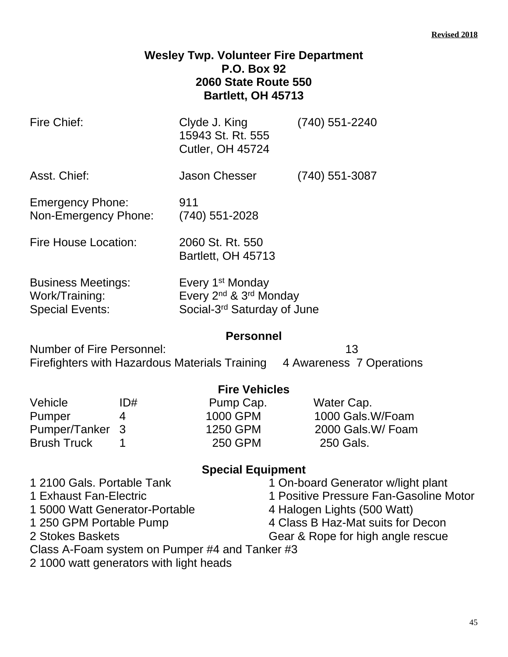### **Wesley Twp. Volunteer Fire Department P.O. Box 92 2060 State Route 550 Bartlett, OH 45713**

| Fire Chief:                                                                                                                                                                                                                        | Clyde J. King<br>15943 St. Rt. 555<br><b>Cutler, OH 45724</b>                                                             | $(740)$ 551-2240                                                                                                                                                                      |
|------------------------------------------------------------------------------------------------------------------------------------------------------------------------------------------------------------------------------------|---------------------------------------------------------------------------------------------------------------------------|---------------------------------------------------------------------------------------------------------------------------------------------------------------------------------------|
| Asst. Chief:                                                                                                                                                                                                                       | Jason Chesser                                                                                                             | $(740)$ 551-3087                                                                                                                                                                      |
| <b>Emergency Phone:</b><br>Non-Emergency Phone:                                                                                                                                                                                    | 911<br>$(740)$ 551-2028                                                                                                   |                                                                                                                                                                                       |
| <b>Fire House Location:</b>                                                                                                                                                                                                        | 2060 St. Rt. 550<br>Bartlett, OH 45713                                                                                    |                                                                                                                                                                                       |
| <b>Business Meetings:</b><br>Work/Training:<br><b>Special Events:</b>                                                                                                                                                              | Every 1 <sup>st</sup> Monday<br>Every 2 <sup>nd</sup> & 3 <sup>rd</sup> Monday<br>Social-3 <sup>rd</sup> Saturday of June |                                                                                                                                                                                       |
| <b>Number of Fire Personnel:</b>                                                                                                                                                                                                   | <b>Personnel</b>                                                                                                          | 13<br>Firefighters with Hazardous Materials Training 4 Awareness 7 Operations                                                                                                         |
| Vehicle<br>ID#<br>Pumper<br>4<br>3<br>Pumper/Tanker<br><b>Brush Truck</b><br>1                                                                                                                                                     | <b>Fire Vehicles</b><br>Pump Cap.<br>1000 GPM<br>1250 GPM<br><b>250 GPM</b>                                               | Water Cap.<br>1000 Gals.W/Foam<br>2000 Gals.W/ Foam<br>250 Gals.                                                                                                                      |
| 1 2100 Gals. Portable Tank<br>1 Exhaust Fan-Electric<br>1 5000 Watt Generator-Portable<br>1 250 GPM Portable Pump<br>2 Stokes Baskets<br>Class A-Foam system on Pumper #4 and Tanker #3<br>2 1000 watt generators with light heads | <b>Special Equipment</b>                                                                                                  | 1 On-board Generator w/light plant<br>1 Positive Pressure Fan-Gasoline Motor<br>4 Halogen Lights (500 Watt)<br>4 Class B Haz-Mat suits for Decon<br>Gear & Rope for high angle rescue |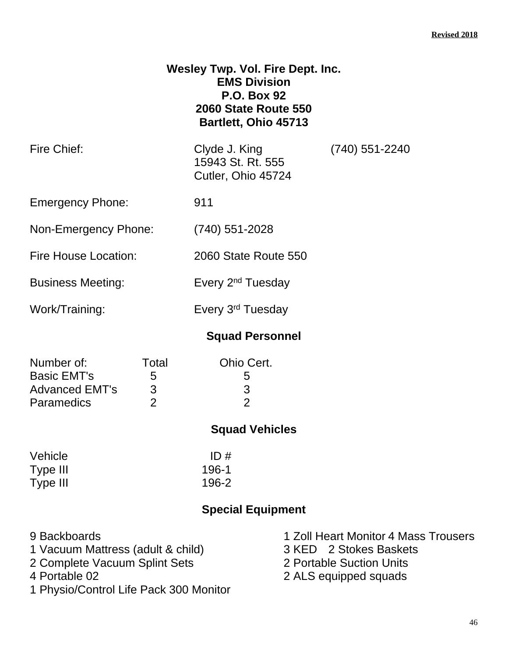| <b>Wesley Twp. Vol. Fire Dept. Inc.</b> |
|-----------------------------------------|
| <b>EMS Division</b>                     |
| <b>P.O. Box 92</b>                      |
| <b>2060 State Route 550</b>             |
| Bartlett, Ohio 45713                    |
|                                         |

|                 | Clyde J. King<br>15943 St. Rt. 555<br>Cutler, Ohio 45724       | (740) 551-2240 |
|-----------------|----------------------------------------------------------------|----------------|
|                 | 911                                                            |                |
|                 | $(740)$ 551-2028                                               |                |
|                 | 2060 State Route 550                                           |                |
|                 | Every 2 <sup>nd</sup> Tuesday                                  |                |
|                 | Every 3 <sup>rd</sup> Tuesday                                  |                |
|                 | <b>Squad Personnel</b>                                         |                |
| Total<br>5<br>3 | Ohio Cert.<br>5<br>3                                           |                |
|                 | Non-Emergency Phone:<br>Fire House Location:<br>$\overline{2}$ | $\overline{2}$ |

### **Squad Vehicles**

| Vehicle  | ID#   |
|----------|-------|
| Type III | 196-1 |
| Type III | 196-2 |

| 9 Backboards                           | 1 Zoll Heart Monitor 4 Mass Trousers |
|----------------------------------------|--------------------------------------|
| 1 Vacuum Mattress (adult & child)      | 3 KED 2 Stokes Baskets               |
| 2 Complete Vacuum Splint Sets          | 2 Portable Suction Units             |
| 4 Portable 02                          | 2 ALS equipped squads                |
| 1 Physio/Control Life Pack 300 Monitor |                                      |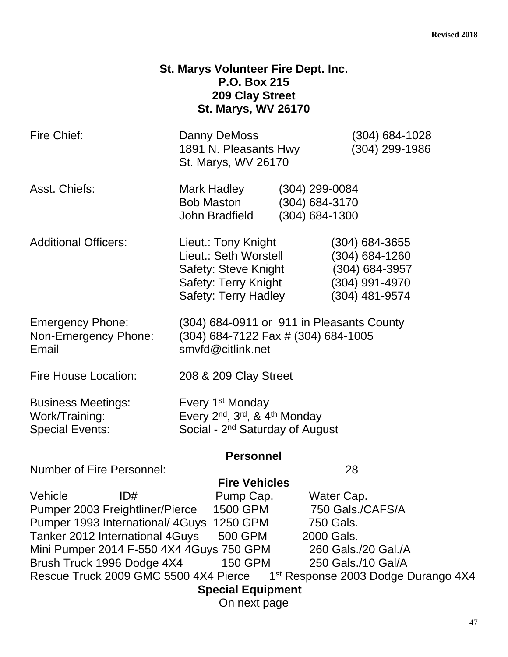### **St. Marys Volunteer Fire Dept. Inc. P.O. Box 215 209 Clay Street St. Marys, WV 26170**

| Fire Chief:                                                                                                                                                                                                                                                                     | Danny DeMoss<br>1891 N. Pleasants Hwy<br>St. Marys, WV 26170                                                                                      |                                                          | (304) 684-1028<br>(304) 299-1986                                                                                                      |
|---------------------------------------------------------------------------------------------------------------------------------------------------------------------------------------------------------------------------------------------------------------------------------|---------------------------------------------------------------------------------------------------------------------------------------------------|----------------------------------------------------------|---------------------------------------------------------------------------------------------------------------------------------------|
| Asst. Chiefs:                                                                                                                                                                                                                                                                   | Mark Hadley<br><b>Bob Maston</b><br>John Bradfield                                                                                                | $(304)$ 299-0084<br>(304) 684-3170<br>$(304) 684 - 1300$ |                                                                                                                                       |
| <b>Additional Officers:</b>                                                                                                                                                                                                                                                     | Lieut.: Tony Knight<br>Lieut.: Seth Worstell<br>Safety: Steve Knight<br>Safety: Terry Knight<br>Safety: Terry Hadley                              |                                                          | $(304)$ 684-3655<br>$(304) 684 - 1260$<br>$(304) 684 - 3957$<br>(304) 991-4970<br>(304) 481-9574                                      |
| <b>Emergency Phone:</b><br>Non-Emergency Phone:<br>Email                                                                                                                                                                                                                        | (304) 684-0911 or 911 in Pleasants County<br>(304) 684-7122 Fax # (304) 684-1005<br>smvfd@citlink.net                                             |                                                          |                                                                                                                                       |
| <b>Fire House Location:</b>                                                                                                                                                                                                                                                     | 208 & 209 Clay Street                                                                                                                             |                                                          |                                                                                                                                       |
| <b>Business Meetings:</b><br>Work/Training:<br><b>Special Events:</b>                                                                                                                                                                                                           | Every 1 <sup>st</sup> Monday<br>Every 2 <sup>nd</sup> , 3 <sup>rd</sup> , & 4 <sup>th</sup> Monday<br>Social - 2 <sup>nd</sup> Saturday of August |                                                          |                                                                                                                                       |
|                                                                                                                                                                                                                                                                                 | <b>Personnel</b>                                                                                                                                  |                                                          |                                                                                                                                       |
| <b>Number of Fire Personnel:</b><br>Vehicle<br>ID#<br>Pumper 2003 Freightliner/Pierce<br>Pumper 1993 International/ 4Guys<br>Tanker 2012 International 4Guys<br>Mini Pumper 2014 F-550 4X4 4Guys 750 GPM<br>Brush Truck 1996 Dodge 4X4<br>Rescue Truck 2009 GMC 5500 4X4 Pierce | <b>Fire Vehicles</b><br>Pump Cap.<br>1500 GPM<br>1250 GPM<br>500 GPM<br>150 GPM<br><b>Special Equipment</b><br>On next page                       | 2000 Gals.                                               | 28<br>Water Cap.<br>750 Gals./CAFS/A<br>750 Gals.<br>260 Gals./20 Gal./A<br>250 Gals./10 Gal/A<br>1st Response 2003 Dodge Durango 4X4 |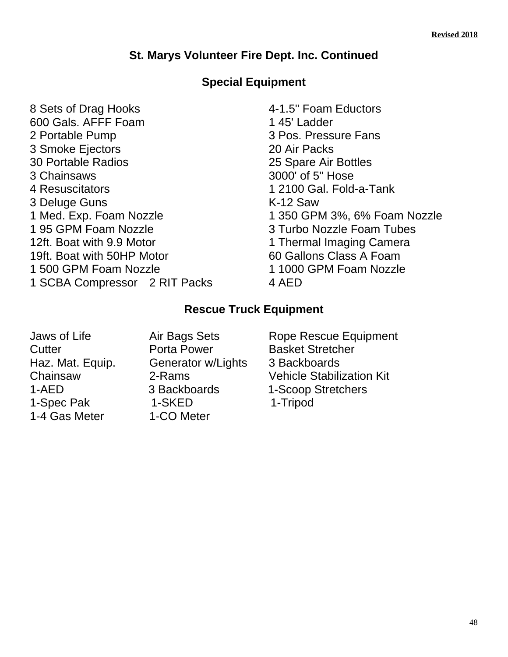### **St. Marys Volunteer Fire Dept. Inc. Continued**

### **Special Equipment**

8 Sets of Drag Hooks 4-1.5" Foam Eductors 600 Gals. AFFF Foam 1 45' Ladder 2 Portable Pump 3 Pos. Pressure Fans 3 Smoke Ejectors 20 Air Packs 30 Portable Radios 25 Spare Air Bottles 3 Chainsaws 3000' of 5" Hose 4 Resuscitators 1 2100 Gal. Fold-a-Tank 3 Deluge Guns K-12 Saw 1 95 GPM Foam Nozzle 3 Turbo Nozzle Foam Tubes 12ft. Boat with 9.9 Motor 1 Thermal Imaging Camera 19ft. Boat with 50HP Motor 60 Gallons Class A Foam 1 500 GPM Foam Nozzle 1 1000 GPM Foam Nozzle 1 SCBA Compressor 2 RIT Packs 4 AED

1 Med. Exp. Foam Nozzle 1 350 GPM 3%, 6% Foam Nozzle

#### **Rescue Truck Equipment**

Jaws of Life **Air Bags Sets** Rope Rescue Equipment **Cutter Cutter Porta Power Basket Stretcher** Haz. Mat. Equip. Generator w/Lights 3 Backboards Chainsaw 2-Rams Vehicle Stabilization Kit 1-AED 3 Backboards 1-Scoop Stretchers 1-Spec Pak 1-SKED 1-Tripod 1-4 Gas Meter 1-CO Meter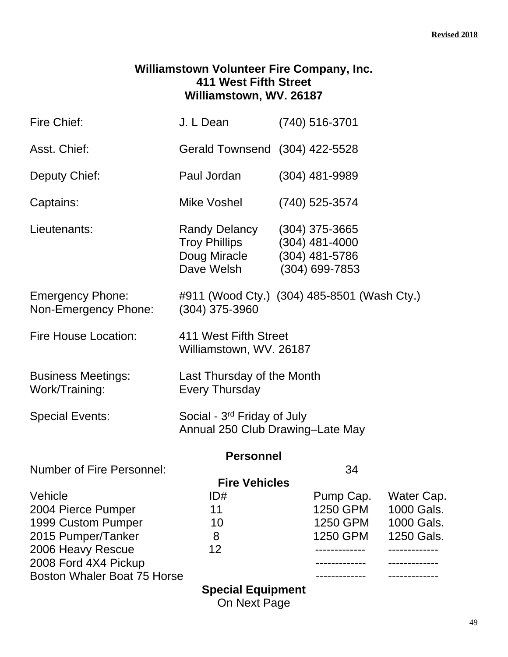### **Williamstown Volunteer Fire Company, Inc. 411 West Fifth Street Williamstown, WV. 26187**

| Fire Chief:                                     | J. L Dean                                                                   | $(740)$ 516-3701                                                           |                          |  |
|-------------------------------------------------|-----------------------------------------------------------------------------|----------------------------------------------------------------------------|--------------------------|--|
| Asst. Chief:                                    | Gerald Townsend (304) 422-5528                                              |                                                                            |                          |  |
| Deputy Chief:                                   | Paul Jordan                                                                 | $(304)$ 481-9989                                                           |                          |  |
| Captains:                                       | Mike Voshel                                                                 | (740) 525-3574                                                             |                          |  |
| Lieutenants:                                    | Randy Delancy<br><b>Troy Phillips</b><br>Doug Miracle<br>Dave Welsh         | $(304)$ 375-3665<br>$(304)$ 481-4000<br>(304) 481-5786<br>$(304)$ 699-7853 |                          |  |
| <b>Emergency Phone:</b><br>Non-Emergency Phone: | #911 (Wood Cty.) (304) 485-8501 (Wash Cty.)<br>$(304)$ 375-3960             |                                                                            |                          |  |
| <b>Fire House Location:</b>                     | 411 West Fifth Street<br>Williamstown, WV. 26187                            |                                                                            |                          |  |
| <b>Business Meetings:</b><br>Work/Training:     | Last Thursday of the Month<br><b>Every Thursday</b>                         |                                                                            |                          |  |
| <b>Special Events:</b>                          | Social - 3 <sup>rd</sup> Friday of July<br>Annual 250 Club Drawing-Late May |                                                                            |                          |  |
|                                                 | <b>Personnel</b>                                                            |                                                                            |                          |  |
| <b>Number of Fire Personnel:</b>                |                                                                             | 34                                                                         |                          |  |
|                                                 | <b>Fire Vehicles</b>                                                        |                                                                            |                          |  |
| Vehicle<br>2004 Pierce Pumper                   | ID#<br>11                                                                   | Pump Cap.<br>1250 GPM                                                      | Water Cap.<br>1000 Gals. |  |
| 1999 Custom Pumper                              | 10                                                                          | 1250 GPM                                                                   | 1000 Gals.               |  |
| 2015 Pumper/Tanker                              | 8                                                                           | 1250 GPM                                                                   | 1250 Gals.               |  |
| 2006 Heavy Rescue                               | 12                                                                          |                                                                            | -----------              |  |
| 2008 Ford 4X4 Pickup                            |                                                                             |                                                                            |                          |  |
| <b>Boston Whaler Boat 75 Horse</b>              |                                                                             |                                                                            |                          |  |
|                                                 | <b>Special Equipment</b>                                                    |                                                                            |                          |  |

On Next Page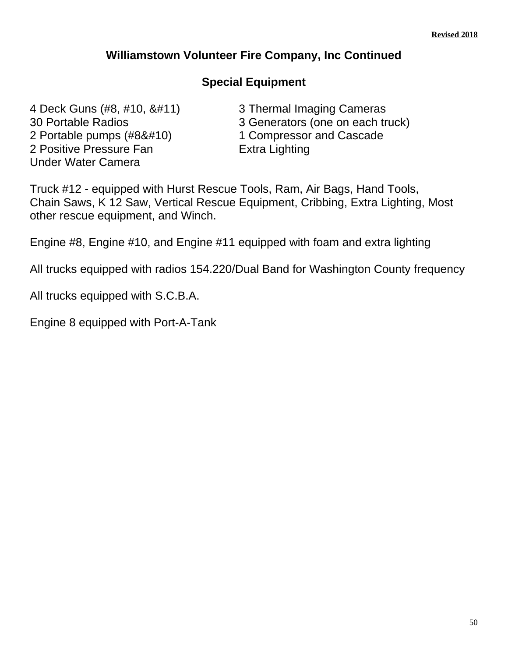### **Williamstown Volunteer Fire Company, Inc Continued**

### **Special Equipment**

4 Deck Guns (#8, #10, &#11) 3 Thermal Imaging Cameras 2 Portable pumps (#8&#10) 1 Compressor and Cascade 2 Positive Pressure Fan **Extra Lighting** Under Water Camera

30 Portable Radios 3 Generators (one on each truck)

Truck #12 - equipped with Hurst Rescue Tools, Ram, Air Bags, Hand Tools, Chain Saws, K 12 Saw, Vertical Rescue Equipment, Cribbing, Extra Lighting, Most other rescue equipment, and Winch.

Engine #8, Engine #10, and Engine #11 equipped with foam and extra lighting

All trucks equipped with radios 154.220/Dual Band for Washington County frequency

All trucks equipped with S.C.B.A.

Engine 8 equipped with Port-A-Tank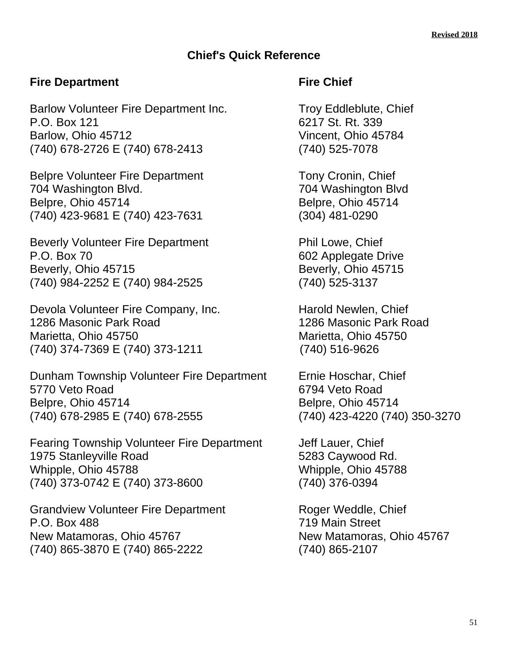### **Chief's Quick Reference**

### **Fire Department Fire Chief**

Barlow Volunteer Fire Department Inc. Troy Eddleblute, Chief P.O. Box 121 6217 St. Rt. 339 Barlow, Ohio 45712 Vincent, Ohio 45784 (740) 678-2726 E (740) 678-2413 (740) 525-7078

Belpre Volunteer Fire Department Tony Cronin, Chief 704 Washington Blvd. 704 Washington Blvd Belpre, Ohio 45714 Belpre, Ohio 45714 (740) 423-9681 E (740) 423-7631 (304) 481-0290

Beverly Volunteer Fire Department From Phil Lowe, Chief P.O. Box 70 602 Applegate Drive Beverly, Ohio 45715 Beverly, Ohio 45715 (740) 984-2252 E (740) 984-2525 (740) 525-3137

Devola Volunteer Fire Company, Inc. **Harold Newlen, Chief** 1286 Masonic Park Road 1286 Masonic Park Road Marietta, Ohio 45750 Marietta, Ohio 45750 (740) 374-7369 E (740) 373-1211 (740) 516-9626

Dunham Township Volunteer Fire Department Ernie Hoschar, Chief 5770 Veto Road 6794 Veto Road Belpre, Ohio 45714 Belpre, Ohio 45714 (740) 678-2985 E (740) 678-2555 (740) 423-4220 (740) 350-3270

Fearing Township Volunteer Fire Department Jeff Lauer, Chief 1975 Stanleyville Road 5283 Caywood Rd. Whipple, Ohio 45788 Whipple, Ohio 45788 (740) 373-0742 E (740) 373-8600 (740) 376-0394

Grandview Volunteer Fire Department Roger Weddle, Chief P.O. Box 488 719 Main Street New Matamoras, Ohio 45767 New Matamoras, Ohio 45767 (740) 865-3870 E (740) 865-2222 (740) 865-2107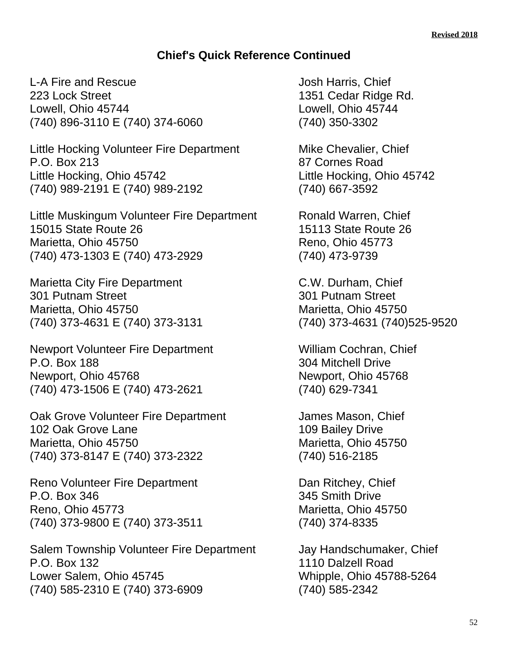### **Chief's Quick Reference Continued**

L-A Fire and Rescue Internal Controllery and Dosh Harris, Chief 223 Lock Street 1351 Cedar Ridge Rd. Lowell, Ohio 45744 Lowell, Ohio 45744 (740) 896-3110 E (740) 374-6060 (740) 350-3302

Little Hocking Volunteer Fire Department Mike Chevalier, Chief P.O. Box 213 87 Cornes Road Little Hocking, Ohio 45742 Little Hocking, Ohio 45742 (740) 989-2191 E (740) 989-2192 (740) 667-3592

Little Muskingum Volunteer Fire Department Ronald Warren, Chief 15015 State Route 26 15113 State Route 26 Marietta, Ohio 45750 Reno, Ohio 45773 (740) 473-1303 E (740) 473-2929 (740) 473-9739

Marietta City Fire Department C.W. Durham, Chief 301 Putnam Street 301 Putnam Street Marietta, Ohio 45750 Marietta, Ohio 45750 (740) 373-4631 E (740) 373-3131 (740) 373-4631 (740)525-9520

Newport Volunteer Fire Department William Cochran, Chief P.O. Box 188 304 Mitchell Drive Newport, Ohio 45768 Newport, Ohio 45768 (740) 473-1506 E (740) 473-2621 (740) 629-7341

Oak Grove Volunteer Fire Department James Mason, Chief 102 Oak Grove Lane 102 Oak Grove Lane Marietta, Ohio 45750 Marietta, Ohio 45750 (740) 373-8147 E (740) 373-2322 (740) 516-2185

Reno Volunteer Fire Department Dan Ritchey, Chief P.O. Box 346 345 Smith Drive Reno, Ohio 45773 Marietta, Ohio 45750 (740) 373-9800 E (740) 373-3511 (740) 374-8335

Salem Township Volunteer Fire Department Jay Handschumaker, Chief<br>P.O. Box 132 [110 Dalzell Road] Lower Salem, Ohio 45745 Whipple, Ohio 45788-5264 (740) 585-2310 E (740) 373-6909 (740) 585-2342

1110 Dalzell Road